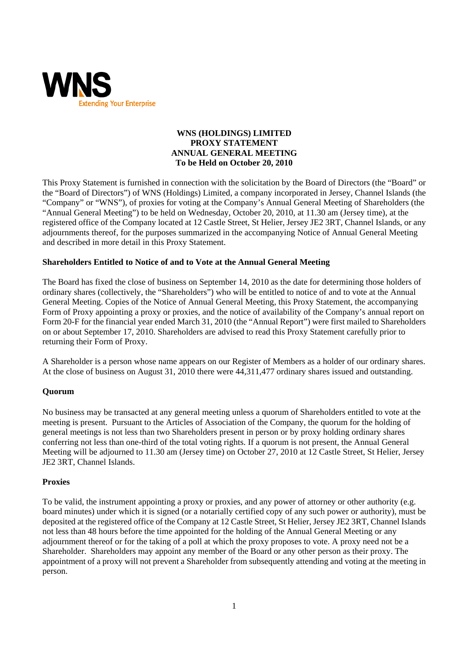

## **WNS (HOLDINGS) LIMITED PROXY STATEMENT ANNUAL GENERAL MEETING To be Held on October 20, 2010**

This Proxy Statement is furnished in connection with the solicitation by the Board of Directors (the "Board" or the "Board of Directors") of WNS (Holdings) Limited, a company incorporated in Jersey, Channel Islands (the "Company" or "WNS"), of proxies for voting at the Company's Annual General Meeting of Shareholders (the "Annual General Meeting") to be held on Wednesday, October 20, 2010, at 11.30 am (Jersey time), at the registered office of the Company located at 12 Castle Street, St Helier, Jersey JE2 3RT, Channel Islands, or any adjournments thereof, for the purposes summarized in the accompanying Notice of Annual General Meeting and described in more detail in this Proxy Statement.

# **Shareholders Entitled to Notice of and to Vote at the Annual General Meeting**

The Board has fixed the close of business on September 14, 2010 as the date for determining those holders of ordinary shares (collectively, the "Shareholders") who will be entitled to notice of and to vote at the Annual General Meeting. Copies of the Notice of Annual General Meeting, this Proxy Statement, the accompanying Form of Proxy appointing a proxy or proxies, and the notice of availability of the Company's annual report on Form 20-F for the financial year ended March 31, 2010 (the "Annual Report") were first mailed to Shareholders on or about September 17, 2010. Shareholders are advised to read this Proxy Statement carefully prior to returning their Form of Proxy.

A Shareholder is a person whose name appears on our Register of Members as a holder of our ordinary shares. At the close of business on August 31, 2010 there were 44,311,477 ordinary shares issued and outstanding.

## **Quorum**

No business may be transacted at any general meeting unless a quorum of Shareholders entitled to vote at the meeting is present. Pursuant to the Articles of Association of the Company, the quorum for the holding of general meetings is not less than two Shareholders present in person or by proxy holding ordinary shares conferring not less than one-third of the total voting rights. If a quorum is not present, the Annual General Meeting will be adjourned to 11.30 am (Jersey time) on October 27, 2010 at 12 Castle Street, St Helier, Jersey JE2 3RT, Channel Islands.

## **Proxies**

To be valid, the instrument appointing a proxy or proxies, and any power of attorney or other authority (e.g. board minutes) under which it is signed (or a notarially certified copy of any such power or authority), must be deposited at the registered office of the Company at 12 Castle Street, St Helier, Jersey JE2 3RT, Channel Islands not less than 48 hours before the time appointed for the holding of the Annual General Meeting or any adjournment thereof or for the taking of a poll at which the proxy proposes to vote. A proxy need not be a Shareholder. Shareholders may appoint any member of the Board or any other person as their proxy. The appointment of a proxy will not prevent a Shareholder from subsequently attending and voting at the meeting in person.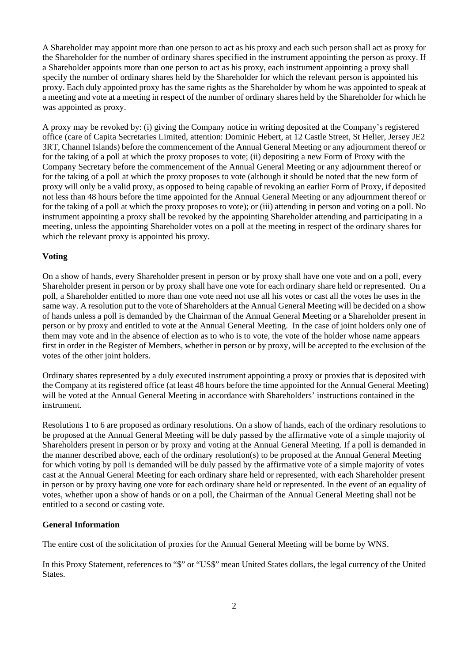A Shareholder may appoint more than one person to act as his proxy and each such person shall act as proxy for the Shareholder for the number of ordinary shares specified in the instrument appointing the person as proxy. If a Shareholder appoints more than one person to act as his proxy, each instrument appointing a proxy shall specify the number of ordinary shares held by the Shareholder for which the relevant person is appointed his proxy. Each duly appointed proxy has the same rights as the Shareholder by whom he was appointed to speak at a meeting and vote at a meeting in respect of the number of ordinary shares held by the Shareholder for which he was appointed as proxy.

A proxy may be revoked by: (i) giving the Company notice in writing deposited at the Company's registered office (care of Capita Secretaries Limited, attention: Dominic Hebert, at 12 Castle Street, St Helier, Jersey JE2 3RT, Channel Islands) before the commencement of the Annual General Meeting or any adjournment thereof or for the taking of a poll at which the proxy proposes to vote; (ii) depositing a new Form of Proxy with the Company Secretary before the commencement of the Annual General Meeting or any adjournment thereof or for the taking of a poll at which the proxy proposes to vote (although it should be noted that the new form of proxy will only be a valid proxy, as opposed to being capable of revoking an earlier Form of Proxy, if deposited not less than 48 hours before the time appointed for the Annual General Meeting or any adjournment thereof or for the taking of a poll at which the proxy proposes to vote); or (iii) attending in person and voting on a poll. No instrument appointing a proxy shall be revoked by the appointing Shareholder attending and participating in a meeting, unless the appointing Shareholder votes on a poll at the meeting in respect of the ordinary shares for which the relevant proxy is appointed his proxy.

## **Voting**

On a show of hands, every Shareholder present in person or by proxy shall have one vote and on a poll, every Shareholder present in person or by proxy shall have one vote for each ordinary share held or represented. On a poll, a Shareholder entitled to more than one vote need not use all his votes or cast all the votes he uses in the same way. A resolution put to the vote of Shareholders at the Annual General Meeting will be decided on a show of hands unless a poll is demanded by the Chairman of the Annual General Meeting or a Shareholder present in person or by proxy and entitled to vote at the Annual General Meeting. In the case of joint holders only one of them may vote and in the absence of election as to who is to vote, the vote of the holder whose name appears first in order in the Register of Members, whether in person or by proxy, will be accepted to the exclusion of the votes of the other joint holders.

Ordinary shares represented by a duly executed instrument appointing a proxy or proxies that is deposited with the Company at its registered office (at least 48 hours before the time appointed for the Annual General Meeting) will be voted at the Annual General Meeting in accordance with Shareholders' instructions contained in the instrument.

Resolutions 1 to 6 are proposed as ordinary resolutions. On a show of hands, each of the ordinary resolutions to be proposed at the Annual General Meeting will be duly passed by the affirmative vote of a simple majority of Shareholders present in person or by proxy and voting at the Annual General Meeting. If a poll is demanded in the manner described above, each of the ordinary resolution(s) to be proposed at the Annual General Meeting for which voting by poll is demanded will be duly passed by the affirmative vote of a simple majority of votes cast at the Annual General Meeting for each ordinary share held or represented, with each Shareholder present in person or by proxy having one vote for each ordinary share held or represented. In the event of an equality of votes, whether upon a show of hands or on a poll, the Chairman of the Annual General Meeting shall not be entitled to a second or casting vote.

## **General Information**

The entire cost of the solicitation of proxies for the Annual General Meeting will be borne by WNS.

In this Proxy Statement, references to "\$" or "US\$" mean United States dollars, the legal currency of the United **States**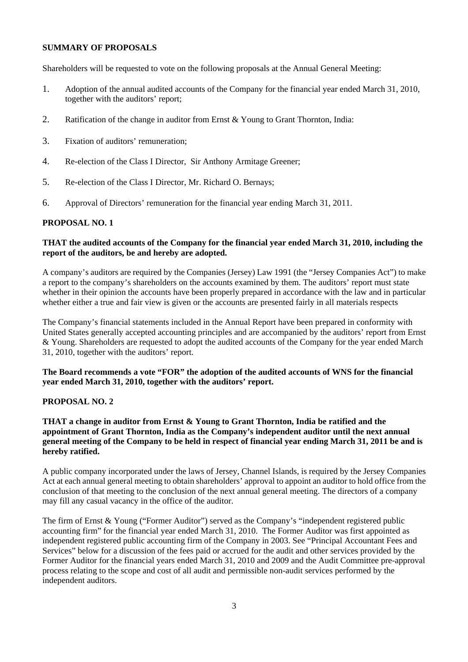### **SUMMARY OF PROPOSALS**

Shareholders will be requested to vote on the following proposals at the Annual General Meeting:

- 1. Adoption of the annual audited accounts of the Company for the financial year ended March 31, 2010, together with the auditors' report;
- 2. Ratification of the change in auditor from Ernst & Young to Grant Thornton, India:
- 3. Fixation of auditors' remuneration;
- 4. Re-election of the Class I Director, Sir Anthony Armitage Greener;
- 5. Re-election of the Class I Director, Mr. Richard O. Bernays;
- 6. Approval of Directors' remuneration for the financial year ending March 31, 2011.

### **PROPOSAL NO. 1**

### **THAT the audited accounts of the Company for the financial year ended March 31, 2010, including the report of the auditors, be and hereby are adopted.**

A company's auditors are required by the Companies (Jersey) Law 1991 (the "Jersey Companies Act") to make a report to the company's shareholders on the accounts examined by them. The auditors' report must state whether in their opinion the accounts have been properly prepared in accordance with the law and in particular whether either a true and fair view is given or the accounts are presented fairly in all materials respects

The Company's financial statements included in the Annual Report have been prepared in conformity with United States generally accepted accounting principles and are accompanied by the auditors' report from Ernst & Young. Shareholders are requested to adopt the audited accounts of the Company for the year ended March 31, 2010, together with the auditors' report.

## **The Board recommends a vote "FOR" the adoption of the audited accounts of WNS for the financial year ended March 31, 2010, together with the auditors' report.**

### **PROPOSAL NO. 2**

**THAT a change in auditor from Ernst & Young to Grant Thornton, India be ratified and the appointment of Grant Thornton, India as the Company's independent auditor until the next annual general meeting of the Company to be held in respect of financial year ending March 31, 2011 be and is hereby ratified.**

A public company incorporated under the laws of Jersey, Channel Islands, is required by the Jersey Companies Act at each annual general meeting to obtain shareholders' approval to appoint an auditor to hold office from the conclusion of that meeting to the conclusion of the next annual general meeting. The directors of a company may fill any casual vacancy in the office of the auditor.

The firm of Ernst & Young ("Former Auditor") served as the Company's "independent registered public accounting firm" for the financial year ended March 31, 2010. The Former Auditor was first appointed as independent registered public accounting firm of the Company in 2003. See "Principal Accountant Fees and Services" below for a discussion of the fees paid or accrued for the audit and other services provided by the Former Auditor for the financial years ended March 31, 2010 and 2009 and the Audit Committee pre-approval process relating to the scope and cost of all audit and permissible non-audit services performed by the independent auditors.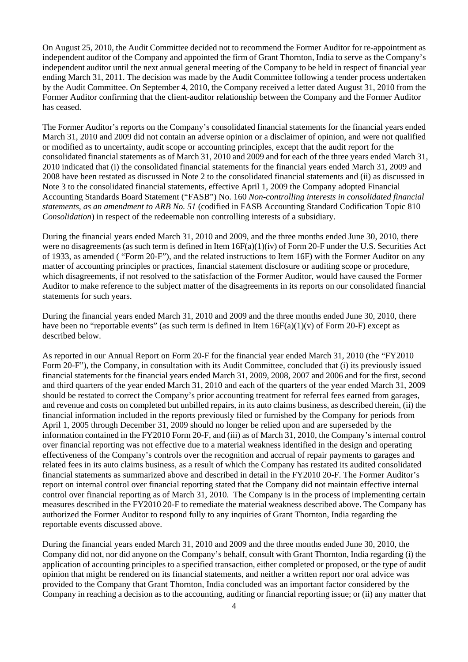On August 25, 2010, the Audit Committee decided not to recommend the Former Auditor for re-appointment as independent auditor of the Company and appointed the firm of Grant Thornton, India to serve as the Company's independent auditor until the next annual general meeting of the Company to be held in respect of financial year ending March 31, 2011. The decision was made by the Audit Committee following a tender process undertaken by the Audit Committee. On September 4, 2010, the Company received a letter dated August 31, 2010 from the Former Auditor confirming that the client-auditor relationship between the Company and the Former Auditor has ceased.

The Former Auditor's reports on the Company's consolidated financial statements for the financial years ended March 31, 2010 and 2009 did not contain an adverse opinion or a disclaimer of opinion, and were not qualified or modified as to uncertainty, audit scope or accounting principles, except that the audit report for the consolidated financial statements as of March 31, 2010 and 2009 and for each of the three years ended March 31, 2010 indicated that (i) the consolidated financial statements for the financial years ended March 31, 2009 and 2008 have been restated as discussed in Note 2 to the consolidated financial statements and (ii) as discussed in Note 3 to the consolidated financial statements, effective April 1, 2009 the Company adopted Financial Accounting Standards Board Statement ("FASB") No. 160 *Non-controlling interests in consolidated financial statements, as an amendment to ARB No. 51* (codified in FASB Accounting Standard Codification Topic 810 *Consolidation*) in respect of the redeemable non controlling interests of a subsidiary.

During the financial years ended March 31, 2010 and 2009, and the three months ended June 30, 2010, there were no disagreements (as such term is defined in Item  $16F(a)(1)(iv)$  of Form 20-F under the U.S. Securities Act of 1933, as amended ( "Form 20-F"), and the related instructions to Item 16F) with the Former Auditor on any matter of accounting principles or practices, financial statement disclosure or auditing scope or procedure, which disagreements, if not resolved to the satisfaction of the Former Auditor, would have caused the Former Auditor to make reference to the subject matter of the disagreements in its reports on our consolidated financial statements for such years.

During the financial years ended March 31, 2010 and 2009 and the three months ended June 30, 2010, there have been no "reportable events" (as such term is defined in Item  $16F(a)(1)(v)$  of Form 20-F) except as described below.

As reported in our Annual Report on Form 20-F for the financial year ended March 31, 2010 (the "FY2010 Form 20-F"), the Company, in consultation with its Audit Committee, concluded that (i) its previously issued financial statements for the financial years ended March 31, 2009, 2008, 2007 and 2006 and for the first, second and third quarters of the year ended March 31, 2010 and each of the quarters of the year ended March 31, 2009 should be restated to correct the Company's prior accounting treatment for referral fees earned from garages, and revenue and costs on completed but unbilled repairs, in its auto claims business, as described therein, (ii) the financial information included in the reports previously filed or furnished by the Company for periods from April 1, 2005 through December 31, 2009 should no longer be relied upon and are superseded by the information contained in the FY2010 Form 20-F, and (iii) as of March 31, 2010, the Company's internal control over financial reporting was not effective due to a material weakness identified in the design and operating effectiveness of the Company's controls over the recognition and accrual of repair payments to garages and related fees in its auto claims business, as a result of which the Company has restated its audited consolidated financial statements as summarized above and described in detail in the FY2010 20-F. The Former Auditor's report on internal control over financial reporting stated that the Company did not maintain effective internal control over financial reporting as of March 31, 2010. The Company is in the process of implementing certain measures described in the FY2010 20-F to remediate the material weakness described above. The Company has authorized the Former Auditor to respond fully to any inquiries of Grant Thornton, India regarding the reportable events discussed above.

During the financial years ended March 31, 2010 and 2009 and the three months ended June 30, 2010, the Company did not, nor did anyone on the Company's behalf, consult with Grant Thornton, India regarding (i) the application of accounting principles to a specified transaction, either completed or proposed, or the type of audit opinion that might be rendered on its financial statements, and neither a written report nor oral advice was provided to the Company that Grant Thornton, India concluded was an important factor considered by the Company in reaching a decision as to the accounting, auditing or financial reporting issue; or (ii) any matter that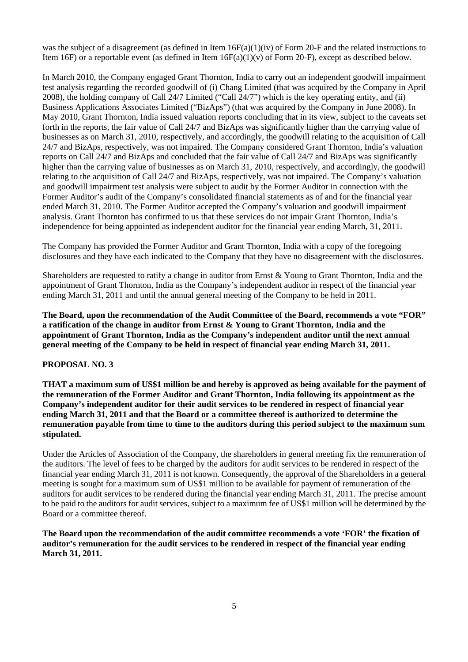was the subject of a disagreement (as defined in Item  $16F(a)(1)(iv)$  of Form 20-F and the related instructions to Item 16F) or a reportable event (as defined in Item  $16F(a)(1)(y)$  of Form 20-F), except as described below.

In March 2010, the Company engaged Grant Thornton, India to carry out an independent goodwill impairment test analysis regarding the recorded goodwill of (i) Chang Limited (that was acquired by the Company in April 2008), the holding company of Call 24/7 Limited ("Call 24/7") which is the key operating entity, and (ii) Business Applications Associates Limited ("BizAps") (that was acquired by the Company in June 2008). In May 2010, Grant Thornton, India issued valuation reports concluding that in its view, subject to the caveats set forth in the reports, the fair value of Call 24/7 and BizAps was significantly higher than the carrying value of businesses as on March 31, 2010, respectively, and accordingly, the goodwill relating to the acquisition of Call 24/7 and BizAps, respectively, was not impaired. The Company considered Grant Thornton, India's valuation reports on Call 24/7 and BizAps and concluded that the fair value of Call 24/7 and BizAps was significantly higher than the carrying value of businesses as on March 31, 2010, respectively, and accordingly, the goodwill relating to the acquisition of Call 24/7 and BizAps, respectively, was not impaired. The Company's valuation and goodwill impairment test analysis were subject to audit by the Former Auditor in connection with the Former Auditor's audit of the Company's consolidated financial statements as of and for the financial year ended March 31, 2010. The Former Auditor accepted the Company's valuation and goodwill impairment analysis. Grant Thornton has confirmed to us that these services do not impair Grant Thornton, India's independence for being appointed as independent auditor for the financial year ending March, 31, 2011.

The Company has provided the Former Auditor and Grant Thornton, India with a copy of the foregoing disclosures and they have each indicated to the Company that they have no disagreement with the disclosures.

Shareholders are requested to ratify a change in auditor from Ernst & Young to Grant Thornton, India and the appointment of Grant Thornton, India as the Company's independent auditor in respect of the financial year ending March 31, 2011 and until the annual general meeting of the Company to be held in 2011.

**The Board, upon the recommendation of the Audit Committee of the Board, recommends a vote "FOR" a ratification of the change in auditor from Ernst & Young to Grant Thornton, India and the appointment of Grant Thornton, India as the Company's independent auditor until the next annual general meeting of the Company to be held in respect of financial year ending March 31, 2011.**

## **PROPOSAL NO. 3**

**THAT a maximum sum of US\$1 million be and hereby is approved as being available for the payment of the remuneration of the Former Auditor and Grant Thornton, India following its appointment as the Company's independent auditor for their audit services to be rendered in respect of financial year ending March 31, 2011 and that the Board or a committee thereof is authorized to determine the remuneration payable from time to time to the auditors during this period subject to the maximum sum stipulated.**

Under the Articles of Association of the Company, the shareholders in general meeting fix the remuneration of the auditors. The level of fees to be charged by the auditors for audit services to be rendered in respect of the financial year ending March 31, 2011 is not known. Consequently, the approval of the Shareholders in a general meeting is sought for a maximum sum of US\$1 million to be available for payment of remuneration of the auditors for audit services to be rendered during the financial year ending March 31, 2011. The precise amount to be paid to the auditors for audit services, subject to a maximum fee of US\$1 million will be determined by the Board or a committee thereof.

**The Board upon the recommendation of the audit committee recommends a vote 'FOR' the fixation of auditor's remuneration for the audit services to be rendered in respect of the financial year ending March 31, 2011.**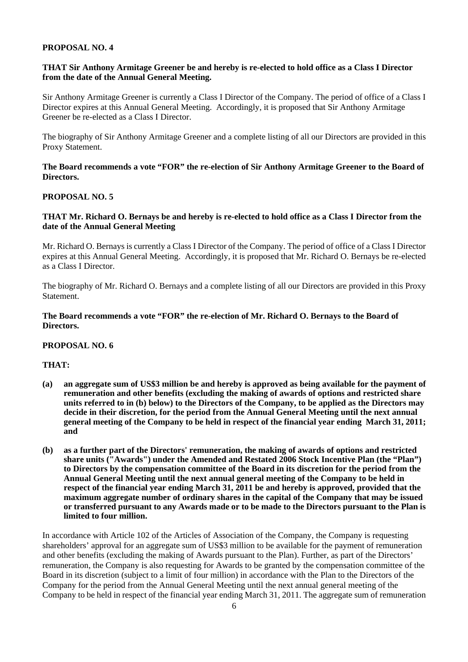### **PROPOSAL NO. 4**

## **THAT Sir Anthony Armitage Greener be and hereby is re-elected to hold office as a Class I Director from the date of the Annual General Meeting.**

Sir Anthony Armitage Greener is currently a Class I Director of the Company. The period of office of a Class I Director expires at this Annual General Meeting. Accordingly, it is proposed that Sir Anthony Armitage Greener be re-elected as a Class I Director.

The biography of Sir Anthony Armitage Greener and a complete listing of all our Directors are provided in this Proxy Statement.

**The Board recommends a vote "FOR" the re-election of Sir Anthony Armitage Greener to the Board of Directors.** 

### **PROPOSAL NO. 5**

### **THAT Mr. Richard O. Bernays be and hereby is re-elected to hold office as a Class I Director from the date of the Annual General Meeting**

Mr. Richard O. Bernays is currently a Class I Director of the Company. The period of office of a Class I Director expires at this Annual General Meeting. Accordingly, it is proposed that Mr. Richard O. Bernays be re-elected as a Class I Director.

The biography of Mr. Richard O. Bernays and a complete listing of all our Directors are provided in this Proxy Statement.

## **The Board recommends a vote "FOR" the re-election of Mr. Richard O. Bernays to the Board of Directors.**

#### **PROPOSAL NO. 6**

## **THAT:**

- **(a) an aggregate sum of US\$3 million be and hereby is approved as being available for the payment of remuneration and other benefits (excluding the making of awards of options and restricted share units referred to in (b) below) to the Directors of the Company, to be applied as the Directors may decide in their discretion, for the period from the Annual General Meeting until the next annual general meeting of the Company to be held in respect of the financial year ending March 31, 2011; and**
- **(b) as a further part of the Directors' remuneration, the making of awards of options and restricted share units ("Awards") under the Amended and Restated 2006 Stock Incentive Plan (the "Plan") to Directors by the compensation committee of the Board in its discretion for the period from the Annual General Meeting until the next annual general meeting of the Company to be held in respect of the financial year ending March 31, 2011 be and hereby is approved, provided that the maximum aggregate number of ordinary shares in the capital of the Company that may be issued or transferred pursuant to any Awards made or to be made to the Directors pursuant to the Plan is limited to four million.**

In accordance with Article 102 of the Articles of Association of the Company, the Company is requesting shareholders' approval for an aggregate sum of US\$3 million to be available for the payment of remuneration and other benefits (excluding the making of Awards pursuant to the Plan). Further, as part of the Directors' remuneration, the Company is also requesting for Awards to be granted by the compensation committee of the Board in its discretion (subject to a limit of four million) in accordance with the Plan to the Directors of the Company for the period from the Annual General Meeting until the next annual general meeting of the Company to be held in respect of the financial year ending March 31, 2011. The aggregate sum of remuneration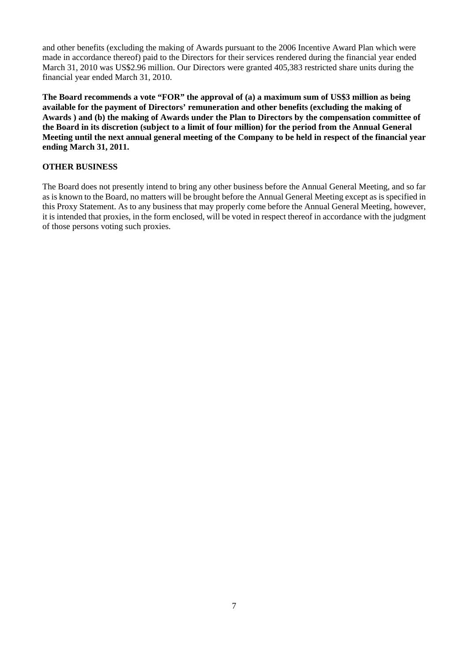and other benefits (excluding the making of Awards pursuant to the 2006 Incentive Award Plan which were made in accordance thereof) paid to the Directors for their services rendered during the financial year ended March 31, 2010 was US\$2.96 million. Our Directors were granted 405,383 restricted share units during the financial year ended March 31, 2010.

**The Board recommends a vote "FOR" the approval of (a) a maximum sum of US\$3 million as being available for the payment of Directors' remuneration and other benefits (excluding the making of Awards ) and (b) the making of Awards under the Plan to Directors by the compensation committee of the Board in its discretion (subject to a limit of four million) for the period from the Annual General Meeting until the next annual general meeting of the Company to be held in respect of the financial year ending March 31, 2011.** 

# **OTHER BUSINESS**

The Board does not presently intend to bring any other business before the Annual General Meeting, and so far as is known to the Board, no matters will be brought before the Annual General Meeting except as is specified in this Proxy Statement. As to any business that may properly come before the Annual General Meeting, however, it is intended that proxies, in the form enclosed, will be voted in respect thereof in accordance with the judgment of those persons voting such proxies.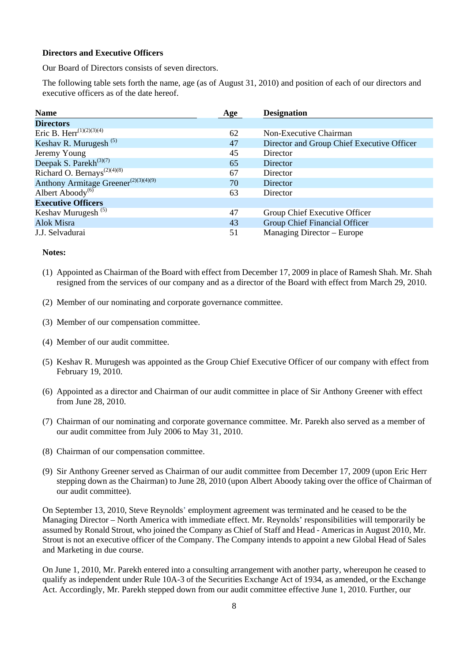### **Directors and Executive Officers**

Our Board of Directors consists of seven directors.

The following table sets forth the name, age (as of August 31, 2010) and position of each of our directors and executive officers as of the date hereof.

| <b>Name</b>                                          | Age | <b>Designation</b>                         |
|------------------------------------------------------|-----|--------------------------------------------|
| <b>Directors</b>                                     |     |                                            |
| Eric B. Herr <sup>(1)(2)(3)(4)</sup>                 | 62  | Non-Executive Chairman                     |
| Keshav R. Murugesh $(5)$                             | 47  | Director and Group Chief Executive Officer |
| Jeremy Young                                         | 45  | Director                                   |
| Deepak S. Parekh $^{(3)(7)}$                         | 65  | Director                                   |
| Richard O. Bernays <sup><math>(2)(4)(8)</math></sup> | 67  | Director                                   |
| Anthony Armitage Greener <sup>(2)(3)(4)(9)</sup>     | 70  | Director                                   |
| Albert Aboody <sup>(6)</sup>                         | 63  | Director                                   |
| <b>Executive Officers</b>                            |     |                                            |
| Keshav Murugesh <sup>(5)</sup>                       | 47  | Group Chief Executive Officer              |
| Alok Misra                                           | 43  | Group Chief Financial Officer              |
| J.J. Selvadurai                                      | 51  | Managing Director – Europe                 |

#### **Notes:**

- (1) Appointed as Chairman of the Board with effect from December 17, 2009 in place of Ramesh Shah. Mr. Shah resigned from the services of our company and as a director of the Board with effect from March 29, 2010.
- (2) Member of our nominating and corporate governance committee.
- (3) Member of our compensation committee.
- (4) Member of our audit committee.
- (5) Keshav R. Murugesh was appointed as the Group Chief Executive Officer of our company with effect from February 19, 2010.
- (6) Appointed as a director and Chairman of our audit committee in place of Sir Anthony Greener with effect from June 28, 2010.
- (7) Chairman of our nominating and corporate governance committee. Mr. Parekh also served as a member of our audit committee from July 2006 to May 31, 2010.
- (8) Chairman of our compensation committee.
- (9) Sir Anthony Greener served as Chairman of our audit committee from December 17, 2009 (upon Eric Herr stepping down as the Chairman) to June 28, 2010 (upon Albert Aboody taking over the office of Chairman of our audit committee).

On September 13, 2010, Steve Reynolds' employment agreement was terminated and he ceased to be the Managing Director – North America with immediate effect. Mr. Reynolds' responsibilities will temporarily be assumed by Ronald Strout, who joined the Company as Chief of Staff and Head - Americas in August 2010, Mr. Strout is not an executive officer of the Company. The Company intends to appoint a new Global Head of Sales and Marketing in due course.

On June 1, 2010, Mr. Parekh entered into a consulting arrangement with another party, whereupon he ceased to qualify as independent under Rule 10A-3 of the Securities Exchange Act of 1934, as amended, or the Exchange Act. Accordingly, Mr. Parekh stepped down from our audit committee effective June 1, 2010. Further, our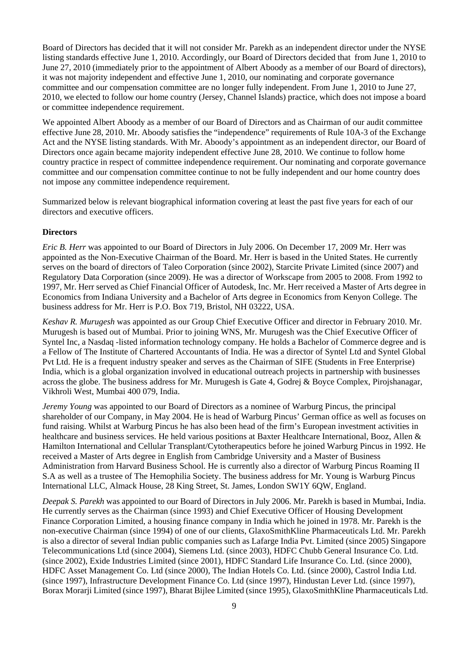Board of Directors has decided that it will not consider Mr. Parekh as an independent director under the NYSE listing standards effective June 1, 2010. Accordingly, our Board of Directors decided that from June 1, 2010 to June 27, 2010 (immediately prior to the appointment of Albert Aboody as a member of our Board of directors), it was not majority independent and effective June 1, 2010, our nominating and corporate governance committee and our compensation committee are no longer fully independent. From June 1, 2010 to June 27, 2010, we elected to follow our home country (Jersey, Channel Islands) practice, which does not impose a board or committee independence requirement.

We appointed Albert Aboody as a member of our Board of Directors and as Chairman of our audit committee effective June 28, 2010. Mr. Aboody satisfies the "independence" requirements of Rule 10A-3 of the Exchange Act and the NYSE listing standards. With Mr. Aboody's appointment as an independent director, our Board of Directors once again became majority independent effective June 28, 2010. We continue to follow home country practice in respect of committee independence requirement. Our nominating and corporate governance committee and our compensation committee continue to not be fully independent and our home country does not impose any committee independence requirement.

Summarized below is relevant biographical information covering at least the past five years for each of our directors and executive officers.

### **Directors**

*Eric B. Herr* was appointed to our Board of Directors in July 2006. On December 17, 2009 Mr. Herr was appointed as the Non-Executive Chairman of the Board. Mr. Herr is based in the United States. He currently serves on the board of directors of Taleo Corporation (since 2002), Starcite Private Limited (since 2007) and Regulatory Data Corporation (since 2009). He was a director of Workscape from 2005 to 2008. From 1992 to 1997, Mr. Herr served as Chief Financial Officer of Autodesk, Inc. Mr. Herr received a Master of Arts degree in Economics from Indiana University and a Bachelor of Arts degree in Economics from Kenyon College. The business address for Mr. Herr is P.O. Box 719, Bristol, NH 03222, USA.

*Keshav R. Murugesh* was appointed as our Group Chief Executive Officer and director in February 2010. Mr. Murugesh is based out of Mumbai. Prior to joining WNS, Mr. Murugesh was the Chief Executive Officer of Syntel Inc, a Nasdaq -listed information technology company. He holds a Bachelor of Commerce degree and is a Fellow of The Institute of Chartered Accountants of India. He was a director of Syntel Ltd and Syntel Global Pvt Ltd. He is a frequent industry speaker and serves as the Chairman of SIFE (Students in Free Enterprise) India, which is a global organization involved in educational outreach projects in partnership with businesses across the globe. The business address for Mr. Murugesh is Gate 4, Godrej & Boyce Complex, Pirojshanagar, Vikhroli West, Mumbai 400 079, India.

*Jeremy Young* was appointed to our Board of Directors as a nominee of Warburg Pincus, the principal shareholder of our Company, in May 2004. He is head of Warburg Pincus' German office as well as focuses on fund raising. Whilst at Warburg Pincus he has also been head of the firm's European investment activities in healthcare and business services. He held various positions at Baxter Healthcare International, Booz, Allen & Hamilton International and Cellular Transplant/Cytotherapeutics before he joined Warburg Pincus in 1992. He received a Master of Arts degree in English from Cambridge University and a Master of Business Administration from Harvard Business School. He is currently also a director of Warburg Pincus Roaming II S.A as well as a trustee of The Hemophilia Society. The business address for Mr. Young is Warburg Pincus International LLC, Almack House, 28 King Street, St. James, London SW1Y 6QW, England.

*Deepak S. Parekh* was appointed to our Board of Directors in July 2006. Mr. Parekh is based in Mumbai, India. He currently serves as the Chairman (since 1993) and Chief Executive Officer of Housing Development Finance Corporation Limited, a housing finance company in India which he joined in 1978. Mr. Parekh is the non-executive Chairman (since 1994) of one of our clients, GlaxoSmithKline Pharmaceuticals Ltd. Mr. Parekh is also a director of several Indian public companies such as Lafarge India Pvt. Limited (since 2005) Singapore Telecommunications Ltd (since 2004), Siemens Ltd. (since 2003), HDFC Chubb General Insurance Co. Ltd. (since 2002), Exide Industries Limited (since 2001), HDFC Standard Life Insurance Co. Ltd. (since 2000), HDFC Asset Management Co. Ltd (since 2000), The Indian Hotels Co. Ltd. (since 2000), Castrol India Ltd. (since 1997), Infrastructure Development Finance Co. Ltd (since 1997), Hindustan Lever Ltd. (since 1997), Borax Morarji Limited (since 1997), Bharat Bijlee Limited (since 1995), GlaxoSmithKline Pharmaceuticals Ltd.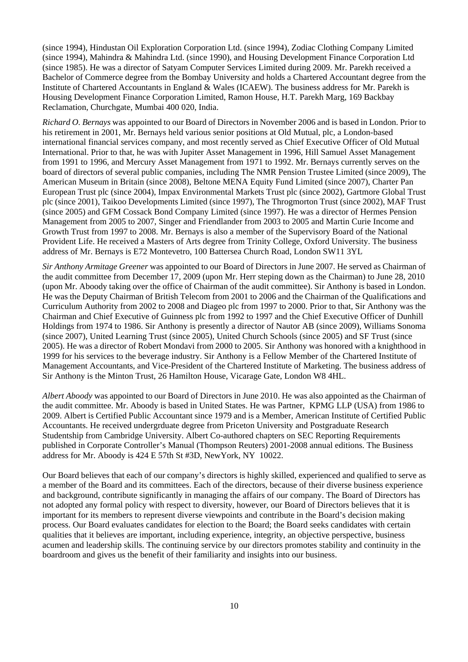(since 1994), Hindustan Oil Exploration Corporation Ltd. (since 1994), Zodiac Clothing Company Limited (since 1994), Mahindra & Mahindra Ltd. (since 1990), and Housing Development Finance Corporation Ltd (since 1985). He was a director of Satyam Computer Services Limited during 2009. Mr. Parekh received a Bachelor of Commerce degree from the Bombay University and holds a Chartered Accountant degree from the Institute of Chartered Accountants in England & Wales (ICAEW). The business address for Mr. Parekh is Housing Development Finance Corporation Limited, Ramon House, H.T. Parekh Marg, 169 Backbay Reclamation, Churchgate, Mumbai 400 020, India.

*Richard O. Bernays* was appointed to our Board of Directors in November 2006 and is based in London. Prior to his retirement in 2001, Mr. Bernays held various senior positions at Old Mutual, plc, a London-based international financial services company, and most recently served as Chief Executive Officer of Old Mutual International. Prior to that, he was with Jupiter Asset Management in 1996, Hill Samuel Asset Management from 1991 to 1996, and Mercury Asset Management from 1971 to 1992. Mr. Bernays currently serves on the board of directors of several public companies, including The NMR Pension Trustee Limited (since 2009), The American Museum in Britain (since 2008), Beltone MENA Equity Fund Limited (since 2007), Charter Pan European Trust plc (since 2004), Impax Environmental Markets Trust plc (since 2002), Gartmore Global Trust plc (since 2001), Taikoo Developments Limited (since 1997), The Throgmorton Trust (since 2002), MAF Trust (since 2005) and GFM Cossack Bond Company Limited (since 1997). He was a director of Hermes Pension Management from 2005 to 2007, Singer and Friendlander from 2003 to 2005 and Martin Curie Income and Growth Trust from 1997 to 2008. Mr. Bernays is also a member of the Supervisory Board of the National Provident Life. He received a Masters of Arts degree from Trinity College, Oxford University. The business address of Mr. Bernays is E72 Montevetro, 100 Battersea Church Road, London SW11 3YL

*Sir Anthony Armitage Greener* was appointed to our Board of Directors in June 2007. He served as Chairman of the audit committee from December 17, 2009 (upon Mr. Herr steping down as the Chairman) to June 28, 2010 (upon Mr. Aboody taking over the office of Chairman of the audit committee). Sir Anthony is based in London. He was the Deputy Chairman of British Telecom from 2001 to 2006 and the Chairman of the Qualifications and Curriculum Authority from 2002 to 2008 and Diageo plc from 1997 to 2000. Prior to that, Sir Anthony was the Chairman and Chief Executive of Guinness plc from 1992 to 1997 and the Chief Executive Officer of Dunhill Holdings from 1974 to 1986. Sir Anthony is presently a director of Nautor AB (since 2009), Williams Sonoma (since 2007), United Learning Trust (since 2005), United Church Schools (since 2005) and SF Trust (since 2005). He was a director of Robert Mondavi from 2000 to 2005. Sir Anthony was honored with a knighthood in 1999 for his services to the beverage industry. Sir Anthony is a Fellow Member of the Chartered Institute of Management Accountants, and Vice-President of the Chartered Institute of Marketing. The business address of Sir Anthony is the Minton Trust, 26 Hamilton House, Vicarage Gate, London W8 4HL.

*Albert Aboody* was appointed to our Board of Directors in June 2010. He was also appointed as the Chairman of the audit committee. Mr. Aboody is based in United States. He was Partner, KPMG LLP (USA) from 1986 to 2009. Albert is Certified Public Accountant since 1979 and is a Member, American Institute of Certified Public Accountants. He received undergrduate degree from Priceton University and Postgraduate Research Studentship from Cambridge University. Albert Co-authored chapters on SEC Reporting Requirements published in Corporate Controller's Manual (Thompson Reuters) 2001-2008 annual editions. The Business address for Mr. Aboody is 424 E 57th St #3D, NewYork, NY 10022.

Our Board believes that each of our company's directors is highly skilled, experienced and qualified to serve as a member of the Board and its committees. Each of the directors, because of their diverse business experience and background, contribute significantly in managing the affairs of our company. The Board of Directors has not adopted any formal policy with respect to diversity, however, our Board of Directors believes that it is important for its members to represent diverse viewpoints and contribute in the Board's decision making process. Our Board evaluates candidates for election to the Board; the Board seeks candidates with certain qualities that it believes are important, including experience, integrity, an objective perspective, business acumen and leadership skills. The continuing service by our directors promotes stability and continuity in the boardroom and gives us the benefit of their familiarity and insights into our business.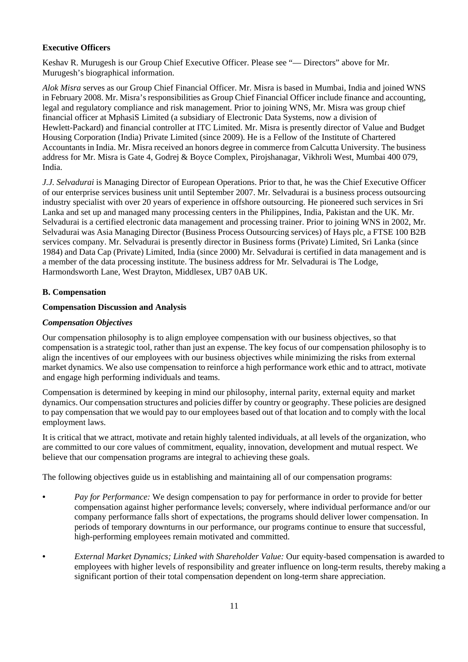# **Executive Officers**

Keshav R. Murugesh is our Group Chief Executive Officer. Please see "— Directors" above for Mr. Murugesh's biographical information.

*Alok Misra* serves as our Group Chief Financial Officer. Mr. Misra is based in Mumbai, India and joined WNS in February 2008. Mr. Misra's responsibilities as Group Chief Financial Officer include finance and accounting, legal and regulatory compliance and risk management. Prior to joining WNS, Mr. Misra was group chief financial officer at MphasiS Limited (a subsidiary of Electronic Data Systems, now a division of Hewlett-Packard) and financial controller at ITC Limited. Mr. Misra is presently director of Value and Budget Housing Corporation (India) Private Limited (since 2009). He is a Fellow of the Institute of Chartered Accountants in India. Mr. Misra received an honors degree in commerce from Calcutta University. The business address for Mr. Misra is Gate 4, Godrej & Boyce Complex, Pirojshanagar, Vikhroli West, Mumbai 400 079, India.

*J.J. Selvadurai* is Managing Director of European Operations. Prior to that, he was the Chief Executive Officer of our enterprise services business unit until September 2007. Mr. Selvadurai is a business process outsourcing industry specialist with over 20 years of experience in offshore outsourcing. He pioneered such services in Sri Lanka and set up and managed many processing centers in the Philippines, India, Pakistan and the UK. Mr. Selvadurai is a certified electronic data management and processing trainer. Prior to joining WNS in 2002, Mr. Selvadurai was Asia Managing Director (Business Process Outsourcing services) of Hays plc, a FTSE 100 B2B services company. Mr. Selvadurai is presently director in Business forms (Private) Limited, Sri Lanka (since 1984) and Data Cap (Private) Limited, India (since 2000) Mr. Selvadurai is certified in data management and is a member of the data processing institute. The business address for Mr. Selvadurai is The Lodge, Harmondsworth Lane, West Drayton, Middlesex, UB7 0AB UK.

## **B. Compensation**

## **Compensation Discussion and Analysis**

## *Compensation Objectives*

Our compensation philosophy is to align employee compensation with our business objectives, so that compensation is a strategic tool, rather than just an expense. The key focus of our compensation philosophy is to align the incentives of our employees with our business objectives while minimizing the risks from external market dynamics. We also use compensation to reinforce a high performance work ethic and to attract, motivate and engage high performing individuals and teams.

Compensation is determined by keeping in mind our philosophy, internal parity, external equity and market dynamics. Our compensation structures and policies differ by country or geography. These policies are designed to pay compensation that we would pay to our employees based out of that location and to comply with the local employment laws.

It is critical that we attract, motivate and retain highly talented individuals, at all levels of the organization, who are committed to our core values of commitment, equality, innovation, development and mutual respect. We believe that our compensation programs are integral to achieving these goals.

The following objectives guide us in establishing and maintaining all of our compensation programs:

- *Pay for Performance:* We design compensation to pay for performance in order to provide for better compensation against higher performance levels; conversely, where individual performance and/or our company performance falls short of expectations, the programs should deliver lower compensation. In periods of temporary downturns in our performance, our programs continue to ensure that successful, high-performing employees remain motivated and committed.
- *External Market Dynamics; Linked with Shareholder Value:* Our equity-based compensation is awarded to employees with higher levels of responsibility and greater influence on long-term results, thereby making a significant portion of their total compensation dependent on long-term share appreciation.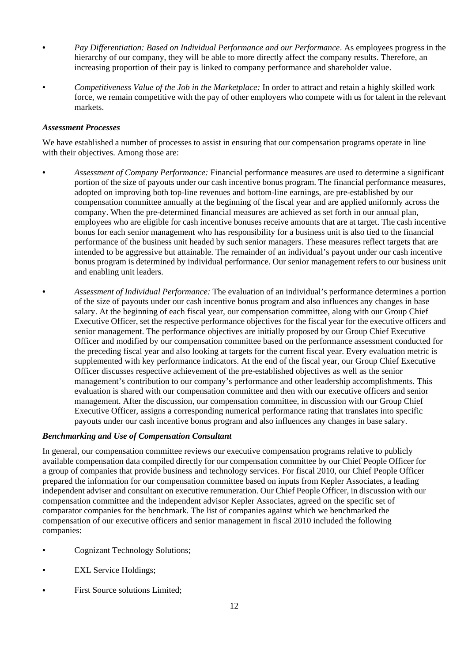- *Pay Differentiation: Based on Individual Performance and our Performance*. As employees progress in the hierarchy of our company, they will be able to more directly affect the company results. Therefore, an increasing proportion of their pay is linked to company performance and shareholder value.
- *Competitiveness Value of the Job in the Marketplace:* In order to attract and retain a highly skilled work force, we remain competitive with the pay of other employers who compete with us for talent in the relevant markets.

### *Assessment Processes*

We have established a number of processes to assist in ensuring that our compensation programs operate in line with their objectives. Among those are:

- *Assessment of Company Performance:* Financial performance measures are used to determine a significant portion of the size of payouts under our cash incentive bonus program. The financial performance measures, adopted on improving both top-line revenues and bottom-line earnings, are pre-established by our compensation committee annually at the beginning of the fiscal year and are applied uniformly across the company. When the pre-determined financial measures are achieved as set forth in our annual plan, employees who are eligible for cash incentive bonuses receive amounts that are at target. The cash incentive bonus for each senior management who has responsibility for a business unit is also tied to the financial performance of the business unit headed by such senior managers. These measures reflect targets that are intended to be aggressive but attainable. The remainder of an individual's payout under our cash incentive bonus program is determined by individual performance. Our senior management refers to our business unit and enabling unit leaders.
- *Assessment of Individual Performance:* The evaluation of an individual's performance determines a portion of the size of payouts under our cash incentive bonus program and also influences any changes in base salary. At the beginning of each fiscal year, our compensation committee, along with our Group Chief Executive Officer, set the respective performance objectives for the fiscal year for the executive officers and senior management. The performance objectives are initially proposed by our Group Chief Executive Officer and modified by our compensation committee based on the performance assessment conducted for the preceding fiscal year and also looking at targets for the current fiscal year. Every evaluation metric is supplemented with key performance indicators. At the end of the fiscal year, our Group Chief Executive Officer discusses respective achievement of the pre-established objectives as well as the senior management's contribution to our company's performance and other leadership accomplishments. This evaluation is shared with our compensation committee and then with our executive officers and senior management. After the discussion, our compensation committee, in discussion with our Group Chief Executive Officer, assigns a corresponding numerical performance rating that translates into specific payouts under our cash incentive bonus program and also influences any changes in base salary.

# *Benchmarking and Use of Compensation Consultant*

In general, our compensation committee reviews our executive compensation programs relative to publicly available compensation data compiled directly for our compensation committee by our Chief People Officer for a group of companies that provide business and technology services. For fiscal 2010, our Chief People Officer prepared the information for our compensation committee based on inputs from Kepler Associates, a leading independent adviser and consultant on executive remuneration. Our Chief People Officer, in discussion with our compensation committee and the independent advisor Kepler Associates, agreed on the specific set of comparator companies for the benchmark. The list of companies against which we benchmarked the compensation of our executive officers and senior management in fiscal 2010 included the following companies:

- Cognizant Technology Solutions;
- **EXL Service Holdings;**
- First Source solutions Limited;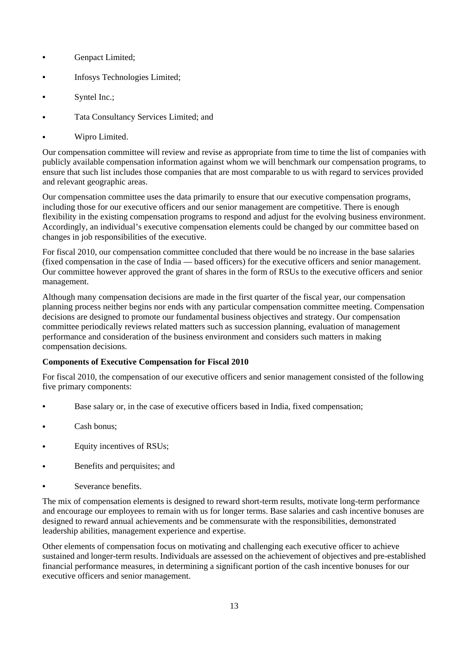- Genpact Limited;
- Infosys Technologies Limited;
- Syntel Inc.;
- Tata Consultancy Services Limited; and
- Wipro Limited.

Our compensation committee will review and revise as appropriate from time to time the list of companies with publicly available compensation information against whom we will benchmark our compensation programs, to ensure that such list includes those companies that are most comparable to us with regard to services provided and relevant geographic areas.

Our compensation committee uses the data primarily to ensure that our executive compensation programs, including those for our executive officers and our senior management are competitive. There is enough flexibility in the existing compensation programs to respond and adjust for the evolving business environment. Accordingly, an individual's executive compensation elements could be changed by our committee based on changes in job responsibilities of the executive.

For fiscal 2010, our compensation committee concluded that there would be no increase in the base salaries (fixed compensation in the case of India — based officers) for the executive officers and senior management. Our committee however approved the grant of shares in the form of RSUs to the executive officers and senior management.

Although many compensation decisions are made in the first quarter of the fiscal year, our compensation planning process neither begins nor ends with any particular compensation committee meeting. Compensation decisions are designed to promote our fundamental business objectives and strategy. Our compensation committee periodically reviews related matters such as succession planning, evaluation of management performance and consideration of the business environment and considers such matters in making compensation decisions.

## **Components of Executive Compensation for Fiscal 2010**

For fiscal 2010, the compensation of our executive officers and senior management consisted of the following five primary components:

- Base salary or, in the case of executive officers based in India, fixed compensation;
- Cash bonus;
- Equity incentives of RSUs;
- Benefits and perquisites; and
- Severance benefits.

The mix of compensation elements is designed to reward short-term results, motivate long-term performance and encourage our employees to remain with us for longer terms. Base salaries and cash incentive bonuses are designed to reward annual achievements and be commensurate with the responsibilities, demonstrated leadership abilities, management experience and expertise.

Other elements of compensation focus on motivating and challenging each executive officer to achieve sustained and longer-term results. Individuals are assessed on the achievement of objectives and pre-established financial performance measures, in determining a significant portion of the cash incentive bonuses for our executive officers and senior management.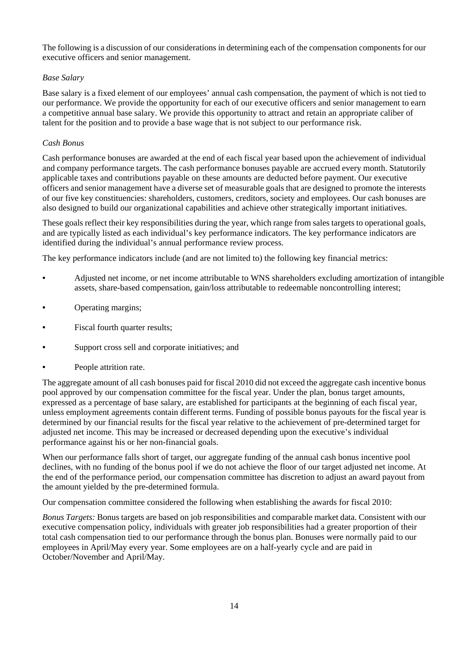The following is a discussion of our considerations in determining each of the compensation components for our executive officers and senior management.

# *Base Salary*

Base salary is a fixed element of our employees' annual cash compensation, the payment of which is not tied to our performance. We provide the opportunity for each of our executive officers and senior management to earn a competitive annual base salary. We provide this opportunity to attract and retain an appropriate caliber of talent for the position and to provide a base wage that is not subject to our performance risk.

# *Cash Bonus*

Cash performance bonuses are awarded at the end of each fiscal year based upon the achievement of individual and company performance targets. The cash performance bonuses payable are accrued every month. Statutorily applicable taxes and contributions payable on these amounts are deducted before payment. Our executive officers and senior management have a diverse set of measurable goals that are designed to promote the interests of our five key constituencies: shareholders, customers, creditors, society and employees. Our cash bonuses are also designed to build our organizational capabilities and achieve other strategically important initiatives.

These goals reflect their key responsibilities during the year, which range from sales targets to operational goals, and are typically listed as each individual's key performance indicators. The key performance indicators are identified during the individual's annual performance review process.

The key performance indicators include (and are not limited to) the following key financial metrics:

- Adjusted net income, or net income attributable to WNS shareholders excluding amortization of intangible assets, share-based compensation, gain/loss attributable to redeemable noncontrolling interest;
- Operating margins;
- Fiscal fourth quarter results;
- Support cross sell and corporate initiatives; and
- People attrition rate.

The aggregate amount of all cash bonuses paid for fiscal 2010 did not exceed the aggregate cash incentive bonus pool approved by our compensation committee for the fiscal year. Under the plan, bonus target amounts, expressed as a percentage of base salary, are established for participants at the beginning of each fiscal year, unless employment agreements contain different terms. Funding of possible bonus payouts for the fiscal year is determined by our financial results for the fiscal year relative to the achievement of pre-determined target for adjusted net income. This may be increased or decreased depending upon the executive's individual performance against his or her non-financial goals.

When our performance falls short of target, our aggregate funding of the annual cash bonus incentive pool declines, with no funding of the bonus pool if we do not achieve the floor of our target adjusted net income. At the end of the performance period, our compensation committee has discretion to adjust an award payout from the amount yielded by the pre-determined formula.

Our compensation committee considered the following when establishing the awards for fiscal 2010:

*Bonus Targets:* Bonus targets are based on job responsibilities and comparable market data. Consistent with our executive compensation policy, individuals with greater job responsibilities had a greater proportion of their total cash compensation tied to our performance through the bonus plan. Bonuses were normally paid to our employees in April/May every year. Some employees are on a half-yearly cycle and are paid in October/November and April/May.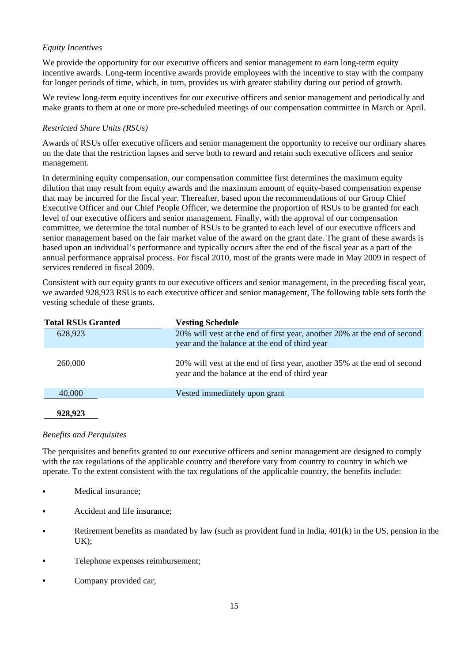# *Equity Incentives*

We provide the opportunity for our executive officers and senior management to earn long-term equity incentive awards. Long-term incentive awards provide employees with the incentive to stay with the company for longer periods of time, which, in turn, provides us with greater stability during our period of growth.

We review long-term equity incentives for our executive officers and senior management and periodically and make grants to them at one or more pre-scheduled meetings of our compensation committee in March or April.

# *Restricted Share Units (RSUs)*

Awards of RSUs offer executive officers and senior management the opportunity to receive our ordinary shares on the date that the restriction lapses and serve both to reward and retain such executive officers and senior management.

In determining equity compensation, our compensation committee first determines the maximum equity dilution that may result from equity awards and the maximum amount of equity-based compensation expense that may be incurred for the fiscal year. Thereafter, based upon the recommendations of our Group Chief Executive Officer and our Chief People Officer, we determine the proportion of RSUs to be granted for each level of our executive officers and senior management. Finally, with the approval of our compensation committee, we determine the total number of RSUs to be granted to each level of our executive officers and senior management based on the fair market value of the award on the grant date. The grant of these awards is based upon an individual's performance and typically occurs after the end of the fiscal year as a part of the annual performance appraisal process. For fiscal 2010, most of the grants were made in May 2009 in respect of services rendered in fiscal 2009.

Consistent with our equity grants to our executive officers and senior management, in the preceding fiscal year, we awarded 928,923 RSUs to each executive officer and senior management, The following table sets forth the vesting schedule of these grants.

| <b>Total RSUs Granted</b> | <b>Vesting Schedule</b>                                                                                                   |
|---------------------------|---------------------------------------------------------------------------------------------------------------------------|
| 628,923                   | 20% will vest at the end of first year, another 20% at the end of second                                                  |
|                           | year and the balance at the end of third year                                                                             |
| 260,000                   | 20% will vest at the end of first year, another 35% at the end of second<br>year and the balance at the end of third year |
| 40,000                    | Vested immediately upon grant                                                                                             |
|                           |                                                                                                                           |

### **928,923**

## *Benefits and Perquisites*

The perquisites and benefits granted to our executive officers and senior management are designed to comply with the tax regulations of the applicable country and therefore vary from country to country in which we operate. To the extent consistent with the tax regulations of the applicable country, the benefits include:

- Medical insurance;
- Accident and life insurance;
- Retirement benefits as mandated by law (such as provident fund in India, 401(k) in the US, pension in the UK);
- Telephone expenses reimbursement;
- Company provided car;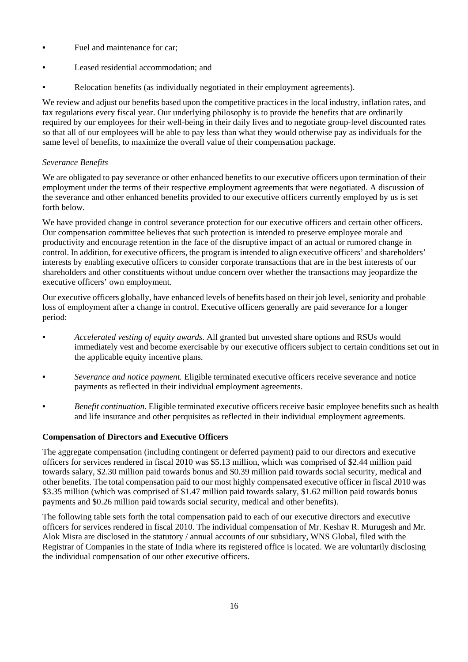- Fuel and maintenance for car;
- Leased residential accommodation; and
- Relocation benefits (as individually negotiated in their employment agreements).

We review and adjust our benefits based upon the competitive practices in the local industry, inflation rates, and tax regulations every fiscal year. Our underlying philosophy is to provide the benefits that are ordinarily required by our employees for their well-being in their daily lives and to negotiate group-level discounted rates so that all of our employees will be able to pay less than what they would otherwise pay as individuals for the same level of benefits, to maximize the overall value of their compensation package.

# *Severance Benefits*

We are obligated to pay severance or other enhanced benefits to our executive officers upon termination of their employment under the terms of their respective employment agreements that were negotiated. A discussion of the severance and other enhanced benefits provided to our executive officers currently employed by us is set forth below.

We have provided change in control severance protection for our executive officers and certain other officers. Our compensation committee believes that such protection is intended to preserve employee morale and productivity and encourage retention in the face of the disruptive impact of an actual or rumored change in control. In addition, for executive officers, the program is intended to align executive officers' and shareholders' interests by enabling executive officers to consider corporate transactions that are in the best interests of our shareholders and other constituents without undue concern over whether the transactions may jeopardize the executive officers' own employment.

Our executive officers globally, have enhanced levels of benefits based on their job level, seniority and probable loss of employment after a change in control. Executive officers generally are paid severance for a longer period:

- *Accelerated vesting of equity awards*. All granted but unvested share options and RSUs would immediately vest and become exercisable by our executive officers subject to certain conditions set out in the applicable equity incentive plans.
- *Severance and notice payment.* Eligible terminated executive officers receive severance and notice payments as reflected in their individual employment agreements.
- *Benefit continuation.* Eligible terminated executive officers receive basic employee benefits such as health and life insurance and other perquisites as reflected in their individual employment agreements.

## **Compensation of Directors and Executive Officers**

The aggregate compensation (including contingent or deferred payment) paid to our directors and executive officers for services rendered in fiscal 2010 was \$5.13 million, which was comprised of \$2.44 million paid towards salary, \$2.30 million paid towards bonus and \$0.39 million paid towards social security, medical and other benefits. The total compensation paid to our most highly compensated executive officer in fiscal 2010 was \$3.35 million (which was comprised of \$1.47 million paid towards salary, \$1.62 million paid towards bonus payments and \$0.26 million paid towards social security, medical and other benefits).

The following table sets forth the total compensation paid to each of our executive directors and executive officers for services rendered in fiscal 2010. The individual compensation of Mr. Keshav R. Murugesh and Mr. Alok Misra are disclosed in the statutory / annual accounts of our subsidiary, WNS Global, filed with the Registrar of Companies in the state of India where its registered office is located. We are voluntarily disclosing the individual compensation of our other executive officers.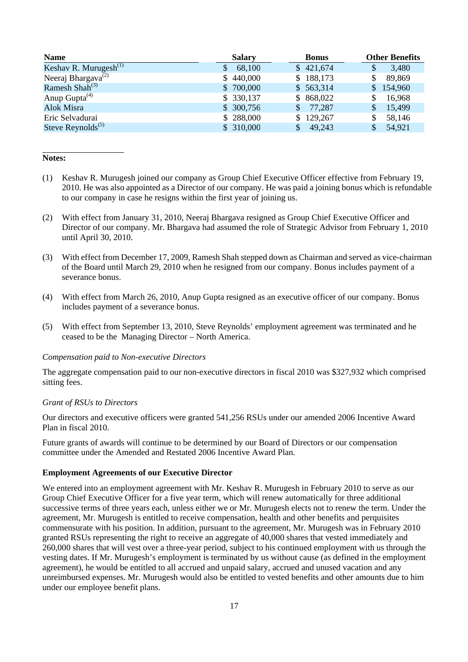| <b>Name</b>                                 | <b>Salary</b> | <b>Bonus</b>           | <b>Other Benefits</b> |
|---------------------------------------------|---------------|------------------------|-----------------------|
| Keshav R. Murugesh $^{(1)}$                 | 68,100        | \$421,674              | 3,480                 |
| Neeraj Bhargava <sup><math>(2)</math></sup> | \$440,000     | \$188,173              | 89,869                |
| Ramesh Shah <sup><math>(3)</math></sup>     | \$700,000     | \$563,314              | 154,960               |
| Anup Gupta $^{(4)}$                         | \$330,137     | \$868,022              | 16,968                |
| Alok Misra                                  | \$300,756     | 77,287<br>S.           | 15,499                |
| Eric Selvadurai                             | \$288,000     | \$129,267              | 58,146                |
| Steve Reynolds <sup><math>(5)</math></sup>  | \$310,000     | 49,243<br><sup>S</sup> | 54,921                |

#### **Notes:**

- (1) Keshav R. Murugesh joined our company as Group Chief Executive Officer effective from February 19, 2010. He was also appointed as a Director of our company. He was paid a joining bonus which is refundable to our company in case he resigns within the first year of joining us.
- (2) With effect from January 31, 2010, Neeraj Bhargava resigned as Group Chief Executive Officer and Director of our company. Mr. Bhargava had assumed the role of Strategic Advisor from February 1, 2010 until April 30, 2010.
- (3) With effect from December 17, 2009, Ramesh Shah stepped down as Chairman and served as vice-chairman of the Board until March 29, 2010 when he resigned from our company. Bonus includes payment of a severance bonus.
- (4) With effect from March 26, 2010, Anup Gupta resigned as an executive officer of our company. Bonus includes payment of a severance bonus.
- (5) With effect from September 13, 2010, Steve Reynolds' employment agreement was terminated and he ceased to be the Managing Director – North America.

#### *Compensation paid to Non-executive Directors*

The aggregate compensation paid to our non-executive directors in fiscal 2010 was \$327,932 which comprised sitting fees.

#### *Grant of RSUs to Directors*

Our directors and executive officers were granted 541,256 RSUs under our amended 2006 Incentive Award Plan in fiscal 2010.

Future grants of awards will continue to be determined by our Board of Directors or our compensation committee under the Amended and Restated 2006 Incentive Award Plan.

### **Employment Agreements of our Executive Director**

We entered into an employment agreement with Mr. Keshav R. Murugesh in February 2010 to serve as our Group Chief Executive Officer for a five year term, which will renew automatically for three additional successive terms of three years each, unless either we or Mr. Murugesh elects not to renew the term. Under the agreement, Mr. Murugesh is entitled to receive compensation, health and other benefits and perquisites commensurate with his position. In addition, pursuant to the agreement, Mr. Murugesh was in February 2010 granted RSUs representing the right to receive an aggregate of 40,000 shares that vested immediately and 260,000 shares that will vest over a three-year period, subject to his continued employment with us through the vesting dates. If Mr. Murugesh's employment is terminated by us without cause (as defined in the employment agreement), he would be entitled to all accrued and unpaid salary, accrued and unused vacation and any unreimbursed expenses. Mr. Murugesh would also be entitled to vested benefits and other amounts due to him under our employee benefit plans.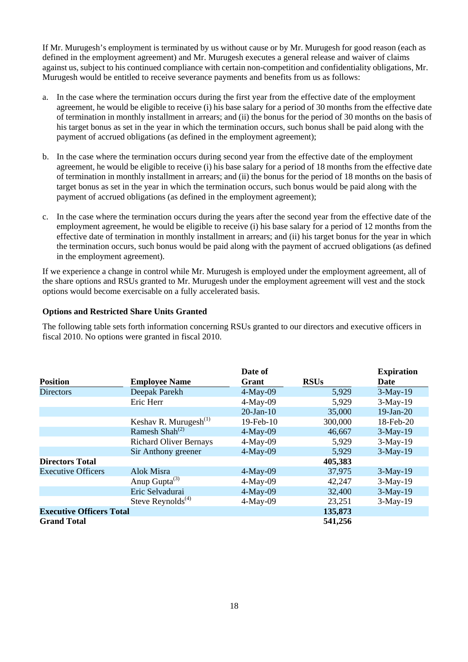If Mr. Murugesh's employment is terminated by us without cause or by Mr. Murugesh for good reason (each as defined in the employment agreement) and Mr. Murugesh executes a general release and waiver of claims against us, subject to his continued compliance with certain non-competition and confidentiality obligations, Mr. Murugesh would be entitled to receive severance payments and benefits from us as follows:

- a. In the case where the termination occurs during the first year from the effective date of the employment agreement, he would be eligible to receive (i) his base salary for a period of 30 months from the effective date of termination in monthly installment in arrears; and (ii) the bonus for the period of 30 months on the basis of his target bonus as set in the year in which the termination occurs, such bonus shall be paid along with the payment of accrued obligations (as defined in the employment agreement);
- b. In the case where the termination occurs during second year from the effective date of the employment agreement, he would be eligible to receive (i) his base salary for a period of 18 months from the effective date of termination in monthly installment in arrears; and (ii) the bonus for the period of 18 months on the basis of target bonus as set in the year in which the termination occurs, such bonus would be paid along with the payment of accrued obligations (as defined in the employment agreement);
- c. In the case where the termination occurs during the years after the second year from the effective date of the employment agreement, he would be eligible to receive (i) his base salary for a period of 12 months from the effective date of termination in monthly installment in arrears; and (ii) his target bonus for the year in which the termination occurs, such bonus would be paid along with the payment of accrued obligations (as defined in the employment agreement).

If we experience a change in control while Mr. Murugesh is employed under the employment agreement, all of the share options and RSUs granted to Mr. Murugesh under the employment agreement will vest and the stock options would become exercisable on a fully accelerated basis.

# **Options and Restricted Share Units Granted**

The following table sets forth information concerning RSUs granted to our directors and executive officers in fiscal 2010. No options were granted in fiscal 2010.

|                                 |                                         | Date of         |             | <b>Expiration</b> |
|---------------------------------|-----------------------------------------|-----------------|-------------|-------------------|
| <b>Position</b>                 | <b>Employee Name</b>                    | Grant           | <b>RSUs</b> | Date              |
| <b>Directors</b>                | Deepak Parekh                           | $4-May-09$      | 5,929       | $3-May-19$        |
|                                 | Eric Herr                               | $4-May-09$      | 5,929       | $3-May-19$        |
|                                 |                                         | $20$ -Jan- $10$ | 35,000      | $19-Jan-20$       |
|                                 | Keshav R. Murugesh $^{(1)}$             | 19-Feb-10       | 300,000     | 18-Feb-20         |
|                                 | Ramesh Shah <sup><math>(2)</math></sup> | $4-May-09$      | 46,667      | $3-May-19$        |
|                                 | <b>Richard Oliver Bernays</b>           | $4-May-09$      | 5,929       | $3-May-19$        |
|                                 | Sir Anthony greener                     | $4-May-09$      | 5,929       | $3-May-19$        |
| <b>Directors Total</b>          |                                         |                 | 405,383     |                   |
| <b>Executive Officers</b>       | <b>Alok Misra</b>                       | $4-May-09$      | 37,975      | $3-May-19$        |
|                                 | Anup Gupta $^{(3)}$                     | $4-May-09$      | 42,247      | $3-May-19$        |
|                                 | Eric Selvadurai                         | $4-May-09$      | 32,400      | $3-May-19$        |
|                                 | Steve Reynolds <sup>(4)</sup>           | $4-May-09$      | 23,251      | $3-May-19$        |
| <b>Executive Officers Total</b> |                                         |                 | 135,873     |                   |
| <b>Grand Total</b>              |                                         |                 | 541,256     |                   |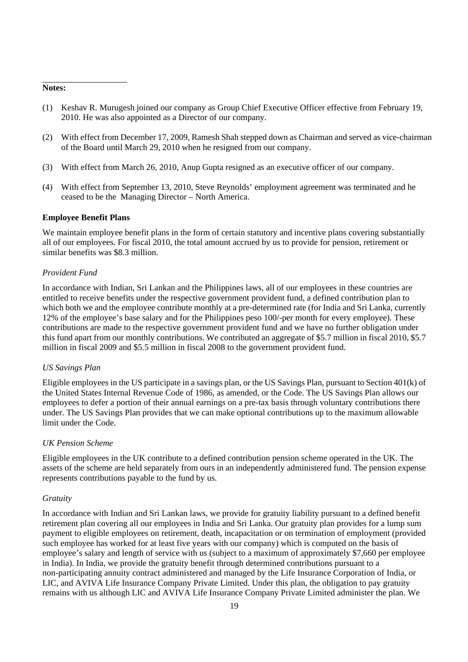#### **Notes:**

- (1) Keshav R. Murugesh joined our company as Group Chief Executive Officer effective from February 19, 2010. He was also appointed as a Director of our company.
- (2) With effect from December 17, 2009, Ramesh Shah stepped down as Chairman and served as vice-chairman of the Board until March 29, 2010 when he resigned from our company.
- (3) With effect from March 26, 2010, Anup Gupta resigned as an executive officer of our company.
- (4) With effect from September 13, 2010, Steve Reynolds' employment agreement was terminated and he ceased to be the Managing Director – North America.

#### **Employee Benefit Plans**

We maintain employee benefit plans in the form of certain statutory and incentive plans covering substantially all of our employees. For fiscal 2010, the total amount accrued by us to provide for pension, retirement or similar benefits was \$8.3 million.

#### *Provident Fund*

In accordance with Indian, Sri Lankan and the Philippines laws, all of our employees in these countries are entitled to receive benefits under the respective government provident fund, a defined contribution plan to which both we and the employee contribute monthly at a pre-determined rate (for India and Sri Lanka, currently 12% of the employee's base salary and for the Philippines peso 100/-per month for every employee). These contributions are made to the respective government provident fund and we have no further obligation under this fund apart from our monthly contributions. We contributed an aggregate of \$5.7 million in fiscal 2010, \$5.7 million in fiscal 2009 and \$5.5 million in fiscal 2008 to the government provident fund.

#### *US Savings Plan*

Eligible employees in the US participate in a savings plan, or the US Savings Plan, pursuant to Section 401(k) of the United States Internal Revenue Code of 1986, as amended, or the Code. The US Savings Plan allows our employees to defer a portion of their annual earnings on a pre-tax basis through voluntary contributions there under. The US Savings Plan provides that we can make optional contributions up to the maximum allowable limit under the Code.

### *UK Pension Scheme*

Eligible employees in the UK contribute to a defined contribution pension scheme operated in the UK. The assets of the scheme are held separately from ours in an independently administered fund. The pension expense represents contributions payable to the fund by us.

#### *Gratuity*

In accordance with Indian and Sri Lankan laws, we provide for gratuity liability pursuant to a defined benefit retirement plan covering all our employees in India and Sri Lanka. Our gratuity plan provides for a lump sum payment to eligible employees on retirement, death, incapacitation or on termination of employment (provided such employee has worked for at least five years with our company) which is computed on the basis of employee's salary and length of service with us (subject to a maximum of approximately \$7,660 per employee in India). In India, we provide the gratuity benefit through determined contributions pursuant to a non-participating annuity contract administered and managed by the Life Insurance Corporation of India, or LIC, and AVIVA Life Insurance Company Private Limited. Under this plan, the obligation to pay gratuity remains with us although LIC and AVIVA Life Insurance Company Private Limited administer the plan. We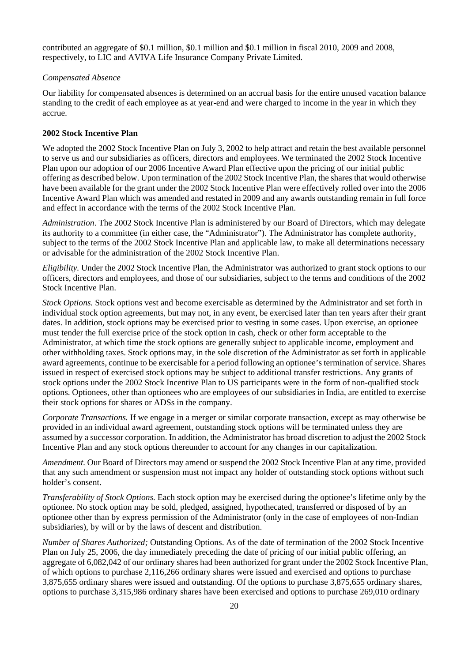contributed an aggregate of \$0.1 million, \$0.1 million and \$0.1 million in fiscal 2010, 2009 and 2008, respectively, to LIC and AVIVA Life Insurance Company Private Limited.

### *Compensated Absence*

Our liability for compensated absences is determined on an accrual basis for the entire unused vacation balance standing to the credit of each employee as at year-end and were charged to income in the year in which they accrue.

### **2002 Stock Incentive Plan**

We adopted the 2002 Stock Incentive Plan on July 3, 2002 to help attract and retain the best available personnel to serve us and our subsidiaries as officers, directors and employees. We terminated the 2002 Stock Incentive Plan upon our adoption of our 2006 Incentive Award Plan effective upon the pricing of our initial public offering as described below. Upon termination of the 2002 Stock Incentive Plan, the shares that would otherwise have been available for the grant under the 2002 Stock Incentive Plan were effectively rolled over into the 2006 Incentive Award Plan which was amended and restated in 2009 and any awards outstanding remain in full force and effect in accordance with the terms of the 2002 Stock Incentive Plan.

*Administration*. The 2002 Stock Incentive Plan is administered by our Board of Directors, which may delegate its authority to a committee (in either case, the "Administrator"). The Administrator has complete authority, subject to the terms of the 2002 Stock Incentive Plan and applicable law, to make all determinations necessary or advisable for the administration of the 2002 Stock Incentive Plan.

*Eligibility.* Under the 2002 Stock Incentive Plan, the Administrator was authorized to grant stock options to our officers, directors and employees, and those of our subsidiaries, subject to the terms and conditions of the 2002 Stock Incentive Plan.

*Stock Options.* Stock options vest and become exercisable as determined by the Administrator and set forth in individual stock option agreements, but may not, in any event, be exercised later than ten years after their grant dates. In addition, stock options may be exercised prior to vesting in some cases. Upon exercise, an optionee must tender the full exercise price of the stock option in cash, check or other form acceptable to the Administrator, at which time the stock options are generally subject to applicable income, employment and other withholding taxes. Stock options may, in the sole discretion of the Administrator as set forth in applicable award agreements, continue to be exercisable for a period following an optionee's termination of service. Shares issued in respect of exercised stock options may be subject to additional transfer restrictions. Any grants of stock options under the 2002 Stock Incentive Plan to US participants were in the form of non-qualified stock options. Optionees, other than optionees who are employees of our subsidiaries in India, are entitled to exercise their stock options for shares or ADSs in the company.

*Corporate Transactions.* If we engage in a merger or similar corporate transaction, except as may otherwise be provided in an individual award agreement, outstanding stock options will be terminated unless they are assumed by a successor corporation. In addition, the Administrator has broad discretion to adjust the 2002 Stock Incentive Plan and any stock options thereunder to account for any changes in our capitalization.

*Amendment.* Our Board of Directors may amend or suspend the 2002 Stock Incentive Plan at any time, provided that any such amendment or suspension must not impact any holder of outstanding stock options without such holder's consent.

*Transferability of Stock Options.* Each stock option may be exercised during the optionee's lifetime only by the optionee. No stock option may be sold, pledged, assigned, hypothecated, transferred or disposed of by an optionee other than by express permission of the Administrator (only in the case of employees of non-Indian subsidiaries), by will or by the laws of descent and distribution.

*Number of Shares Authorized;* Outstanding Options. As of the date of termination of the 2002 Stock Incentive Plan on July 25, 2006, the day immediately preceding the date of pricing of our initial public offering, an aggregate of 6,082,042 of our ordinary shares had been authorized for grant under the 2002 Stock Incentive Plan, of which options to purchase 2,116,266 ordinary shares were issued and exercised and options to purchase 3,875,655 ordinary shares were issued and outstanding. Of the options to purchase 3,875,655 ordinary shares, options to purchase 3,315,986 ordinary shares have been exercised and options to purchase 269,010 ordinary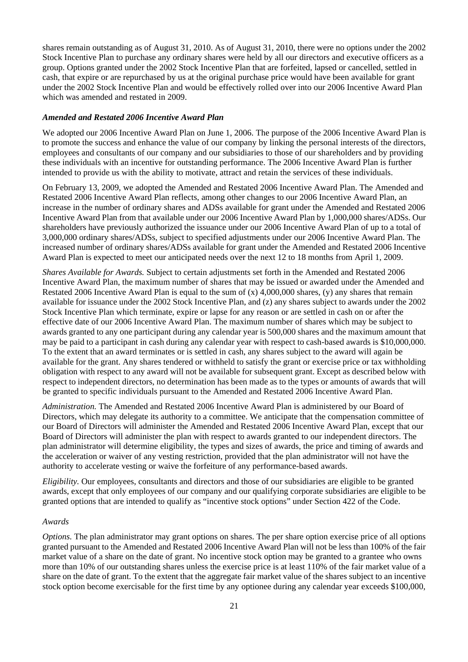shares remain outstanding as of August 31, 2010. As of August 31, 2010, there were no options under the 2002 Stock Incentive Plan to purchase any ordinary shares were held by all our directors and executive officers as a group. Options granted under the 2002 Stock Incentive Plan that are forfeited, lapsed or cancelled, settled in cash, that expire or are repurchased by us at the original purchase price would have been available for grant under the 2002 Stock Incentive Plan and would be effectively rolled over into our 2006 Incentive Award Plan which was amended and restated in 2009.

### *Amended and Restated 2006 Incentive Award Plan*

We adopted our 2006 Incentive Award Plan on June 1, 2006. The purpose of the 2006 Incentive Award Plan is to promote the success and enhance the value of our company by linking the personal interests of the directors, employees and consultants of our company and our subsidiaries to those of our shareholders and by providing these individuals with an incentive for outstanding performance. The 2006 Incentive Award Plan is further intended to provide us with the ability to motivate, attract and retain the services of these individuals.

On February 13, 2009, we adopted the Amended and Restated 2006 Incentive Award Plan. The Amended and Restated 2006 Incentive Award Plan reflects, among other changes to our 2006 Incentive Award Plan, an increase in the number of ordinary shares and ADSs available for grant under the Amended and Restated 2006 Incentive Award Plan from that available under our 2006 Incentive Award Plan by 1,000,000 shares/ADSs. Our shareholders have previously authorized the issuance under our 2006 Incentive Award Plan of up to a total of 3,000,000 ordinary shares/ADSs, subject to specified adjustments under our 2006 Incentive Award Plan. The increased number of ordinary shares/ADSs available for grant under the Amended and Restated 2006 Incentive Award Plan is expected to meet our anticipated needs over the next 12 to 18 months from April 1, 2009.

*Shares Available for Awards.* Subject to certain adjustments set forth in the Amended and Restated 2006 Incentive Award Plan, the maximum number of shares that may be issued or awarded under the Amended and Restated 2006 Incentive Award Plan is equal to the sum of  $(x)$  4,000,000 shares,  $(y)$  any shares that remain available for issuance under the 2002 Stock Incentive Plan, and (z) any shares subject to awards under the 2002 Stock Incentive Plan which terminate, expire or lapse for any reason or are settled in cash on or after the effective date of our 2006 Incentive Award Plan. The maximum number of shares which may be subject to awards granted to any one participant during any calendar year is 500,000 shares and the maximum amount that may be paid to a participant in cash during any calendar year with respect to cash-based awards is \$10,000,000. To the extent that an award terminates or is settled in cash, any shares subject to the award will again be available for the grant. Any shares tendered or withheld to satisfy the grant or exercise price or tax withholding obligation with respect to any award will not be available for subsequent grant. Except as described below with respect to independent directors, no determination has been made as to the types or amounts of awards that will be granted to specific individuals pursuant to the Amended and Restated 2006 Incentive Award Plan.

*Administration.* The Amended and Restated 2006 Incentive Award Plan is administered by our Board of Directors, which may delegate its authority to a committee. We anticipate that the compensation committee of our Board of Directors will administer the Amended and Restated 2006 Incentive Award Plan, except that our Board of Directors will administer the plan with respect to awards granted to our independent directors. The plan administrator will determine eligibility, the types and sizes of awards, the price and timing of awards and the acceleration or waiver of any vesting restriction, provided that the plan administrator will not have the authority to accelerate vesting or waive the forfeiture of any performance-based awards.

*Eligibility.* Our employees, consultants and directors and those of our subsidiaries are eligible to be granted awards, except that only employees of our company and our qualifying corporate subsidiaries are eligible to be granted options that are intended to qualify as "incentive stock options" under Section 422 of the Code.

#### *Awards*

*Options.* The plan administrator may grant options on shares. The per share option exercise price of all options granted pursuant to the Amended and Restated 2006 Incentive Award Plan will not be less than 100% of the fair market value of a share on the date of grant. No incentive stock option may be granted to a grantee who owns more than 10% of our outstanding shares unless the exercise price is at least 110% of the fair market value of a share on the date of grant. To the extent that the aggregate fair market value of the shares subject to an incentive stock option become exercisable for the first time by any optionee during any calendar year exceeds \$100,000,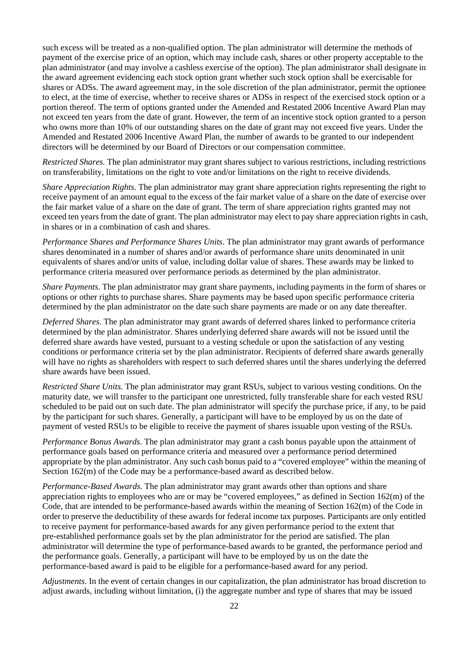such excess will be treated as a non-qualified option. The plan administrator will determine the methods of payment of the exercise price of an option, which may include cash, shares or other property acceptable to the plan administrator (and may involve a cashless exercise of the option). The plan administrator shall designate in the award agreement evidencing each stock option grant whether such stock option shall be exercisable for shares or ADSs. The award agreement may, in the sole discretion of the plan administrator, permit the optionee to elect, at the time of exercise, whether to receive shares or ADSs in respect of the exercised stock option or a portion thereof. The term of options granted under the Amended and Restated 2006 Incentive Award Plan may not exceed ten years from the date of grant. However, the term of an incentive stock option granted to a person who owns more than 10% of our outstanding shares on the date of grant may not exceed five years. Under the Amended and Restated 2006 Incentive Award Plan, the number of awards to be granted to our independent directors will be determined by our Board of Directors or our compensation committee.

*Restricted Shares.* The plan administrator may grant shares subject to various restrictions, including restrictions on transferability, limitations on the right to vote and/or limitations on the right to receive dividends.

*Share Appreciation Rights*. The plan administrator may grant share appreciation rights representing the right to receive payment of an amount equal to the excess of the fair market value of a share on the date of exercise over the fair market value of a share on the date of grant. The term of share appreciation rights granted may not exceed ten years from the date of grant. The plan administrator may elect to pay share appreciation rights in cash, in shares or in a combination of cash and shares.

*Performance Shares and Performance Shares Units*. The plan administrator may grant awards of performance shares denominated in a number of shares and/or awards of performance share units denominated in unit equivalents of shares and/or units of value, including dollar value of shares. These awards may be linked to performance criteria measured over performance periods as determined by the plan administrator.

*Share Payments*. The plan administrator may grant share payments, including payments in the form of shares or options or other rights to purchase shares. Share payments may be based upon specific performance criteria determined by the plan administrator on the date such share payments are made or on any date thereafter.

*Deferred Shares*. The plan administrator may grant awards of deferred shares linked to performance criteria determined by the plan administrator. Shares underlying deferred share awards will not be issued until the deferred share awards have vested, pursuant to a vesting schedule or upon the satisfaction of any vesting conditions or performance criteria set by the plan administrator. Recipients of deferred share awards generally will have no rights as shareholders with respect to such deferred shares until the shares underlying the deferred share awards have been issued.

*Restricted Share Units*. The plan administrator may grant RSUs, subject to various vesting conditions. On the maturity date, we will transfer to the participant one unrestricted, fully transferable share for each vested RSU scheduled to be paid out on such date. The plan administrator will specify the purchase price, if any, to be paid by the participant for such shares. Generally, a participant will have to be employed by us on the date of payment of vested RSUs to be eligible to receive the payment of shares issuable upon vesting of the RSUs.

*Performance Bonus Awards*. The plan administrator may grant a cash bonus payable upon the attainment of performance goals based on performance criteria and measured over a performance period determined appropriate by the plan administrator. Any such cash bonus paid to a "covered employee" within the meaning of Section 162(m) of the Code may be a performance-based award as described below.

*Performance-Based Awards*. The plan administrator may grant awards other than options and share appreciation rights to employees who are or may be "covered employees," as defined in Section 162(m) of the Code, that are intended to be performance-based awards within the meaning of Section 162(m) of the Code in order to preserve the deductibility of these awards for federal income tax purposes. Participants are only entitled to receive payment for performance-based awards for any given performance period to the extent that pre-established performance goals set by the plan administrator for the period are satisfied. The plan administrator will determine the type of performance-based awards to be granted, the performance period and the performance goals. Generally, a participant will have to be employed by us on the date the performance-based award is paid to be eligible for a performance-based award for any period.

*Adjustments*. In the event of certain changes in our capitalization, the plan administrator has broad discretion to adjust awards, including without limitation, (i) the aggregate number and type of shares that may be issued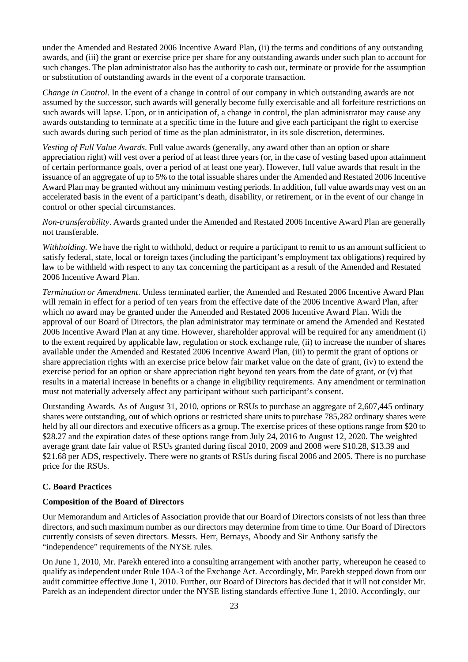under the Amended and Restated 2006 Incentive Award Plan, (ii) the terms and conditions of any outstanding awards, and (iii) the grant or exercise price per share for any outstanding awards under such plan to account for such changes. The plan administrator also has the authority to cash out, terminate or provide for the assumption or substitution of outstanding awards in the event of a corporate transaction.

*Change in Control*. In the event of a change in control of our company in which outstanding awards are not assumed by the successor, such awards will generally become fully exercisable and all forfeiture restrictions on such awards will lapse. Upon, or in anticipation of, a change in control, the plan administrator may cause any awards outstanding to terminate at a specific time in the future and give each participant the right to exercise such awards during such period of time as the plan administrator, in its sole discretion, determines.

*Vesting of Full Value Awards*. Full value awards (generally, any award other than an option or share appreciation right) will vest over a period of at least three years (or, in the case of vesting based upon attainment of certain performance goals, over a period of at least one year). However, full value awards that result in the issuance of an aggregate of up to 5% to the total issuable shares under the Amended and Restated 2006 Incentive Award Plan may be granted without any minimum vesting periods. In addition, full value awards may vest on an accelerated basis in the event of a participant's death, disability, or retirement, or in the event of our change in control or other special circumstances.

*Non-transferability*. Awards granted under the Amended and Restated 2006 Incentive Award Plan are generally not transferable.

*Withholding.* We have the right to withhold, deduct or require a participant to remit to us an amount sufficient to satisfy federal, state, local or foreign taxes (including the participant's employment tax obligations) required by law to be withheld with respect to any tax concerning the participant as a result of the Amended and Restated 2006 Incentive Award Plan.

*Termination or Amendment*. Unless terminated earlier, the Amended and Restated 2006 Incentive Award Plan will remain in effect for a period of ten years from the effective date of the 2006 Incentive Award Plan, after which no award may be granted under the Amended and Restated 2006 Incentive Award Plan. With the approval of our Board of Directors, the plan administrator may terminate or amend the Amended and Restated 2006 Incentive Award Plan at any time. However, shareholder approval will be required for any amendment (i) to the extent required by applicable law, regulation or stock exchange rule, (ii) to increase the number of shares available under the Amended and Restated 2006 Incentive Award Plan, (iii) to permit the grant of options or share appreciation rights with an exercise price below fair market value on the date of grant, (iv) to extend the exercise period for an option or share appreciation right beyond ten years from the date of grant, or (v) that results in a material increase in benefits or a change in eligibility requirements. Any amendment or termination must not materially adversely affect any participant without such participant's consent.

Outstanding Awards. As of August 31, 2010, options or RSUs to purchase an aggregate of 2,607,445 ordinary shares were outstanding, out of which options or restricted share units to purchase 785,282 ordinary shares were held by all our directors and executive officers as a group. The exercise prices of these options range from \$20 to \$28.27 and the expiration dates of these options range from July 24, 2016 to August 12, 2020. The weighted average grant date fair value of RSUs granted during fiscal 2010, 2009 and 2008 were \$10.28, \$13.39 and \$21.68 per ADS, respectively. There were no grants of RSUs during fiscal 2006 and 2005. There is no purchase price for the RSUs.

## **C. Board Practices**

#### **Composition of the Board of Directors**

Our Memorandum and Articles of Association provide that our Board of Directors consists of not less than three directors, and such maximum number as our directors may determine from time to time. Our Board of Directors currently consists of seven directors. Messrs. Herr, Bernays, Aboody and Sir Anthony satisfy the "independence" requirements of the NYSE rules.

On June 1, 2010, Mr. Parekh entered into a consulting arrangement with another party, whereupon he ceased to qualify as independent under Rule 10A-3 of the Exchange Act. Accordingly, Mr. Parekh stepped down from our audit committee effective June 1, 2010. Further, our Board of Directors has decided that it will not consider Mr. Parekh as an independent director under the NYSE listing standards effective June 1, 2010. Accordingly, our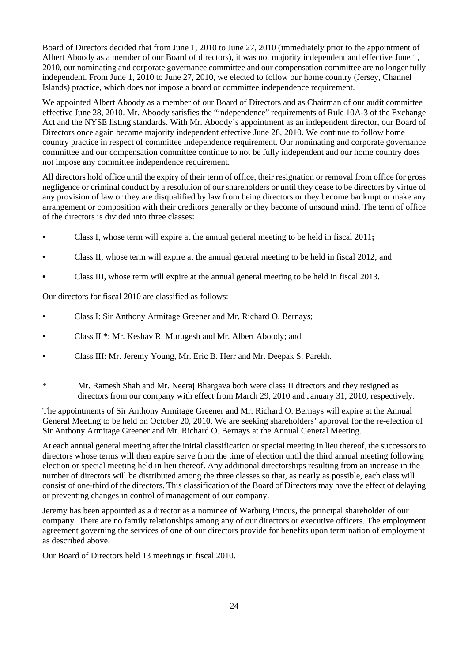Board of Directors decided that from June 1, 2010 to June 27, 2010 (immediately prior to the appointment of Albert Aboody as a member of our Board of directors), it was not majority independent and effective June 1, 2010, our nominating and corporate governance committee and our compensation committee are no longer fully independent. From June 1, 2010 to June 27, 2010, we elected to follow our home country (Jersey, Channel Islands) practice, which does not impose a board or committee independence requirement.

We appointed Albert Aboody as a member of our Board of Directors and as Chairman of our audit committee effective June 28, 2010. Mr. Aboody satisfies the "independence" requirements of Rule 10A-3 of the Exchange Act and the NYSE listing standards. With Mr. Aboody's appointment as an independent director, our Board of Directors once again became majority independent effective June 28, 2010. We continue to follow home country practice in respect of committee independence requirement. Our nominating and corporate governance committee and our compensation committee continue to not be fully independent and our home country does not impose any committee independence requirement.

All directors hold office until the expiry of their term of office, their resignation or removal from office for gross negligence or criminal conduct by a resolution of our shareholders or until they cease to be directors by virtue of any provision of law or they are disqualified by law from being directors or they become bankrupt or make any arrangement or composition with their creditors generally or they become of unsound mind. The term of office of the directors is divided into three classes:

- Class I, whose term will expire at the annual general meeting to be held in fiscal 2011**;**
- Class II, whose term will expire at the annual general meeting to be held in fiscal 2012; and
- Class III, whose term will expire at the annual general meeting to be held in fiscal 2013.

Our directors for fiscal 2010 are classified as follows:

- Class I: Sir Anthony Armitage Greener and Mr. Richard O. Bernays;
- Class II \*: Mr. Keshav R. Murugesh and Mr. Albert Aboody; and
- Class III: Mr. Jeremy Young, Mr. Eric B. Herr and Mr. Deepak S. Parekh.
- \* Mr. Ramesh Shah and Mr. Neeraj Bhargava both were class II directors and they resigned as directors from our company with effect from March 29, 2010 and January 31, 2010, respectively.

The appointments of Sir Anthony Armitage Greener and Mr. Richard O. Bernays will expire at the Annual General Meeting to be held on October 20, 2010. We are seeking shareholders' approval for the re-election of Sir Anthony Armitage Greener and Mr. Richard O. Bernays at the Annual General Meeting.

At each annual general meeting after the initial classification or special meeting in lieu thereof, the successors to directors whose terms will then expire serve from the time of election until the third annual meeting following election or special meeting held in lieu thereof. Any additional directorships resulting from an increase in the number of directors will be distributed among the three classes so that, as nearly as possible, each class will consist of one-third of the directors. This classification of the Board of Directors may have the effect of delaying or preventing changes in control of management of our company.

Jeremy has been appointed as a director as a nominee of Warburg Pincus, the principal shareholder of our company. There are no family relationships among any of our directors or executive officers. The employment agreement governing the services of one of our directors provide for benefits upon termination of employment as described above.

Our Board of Directors held 13 meetings in fiscal 2010.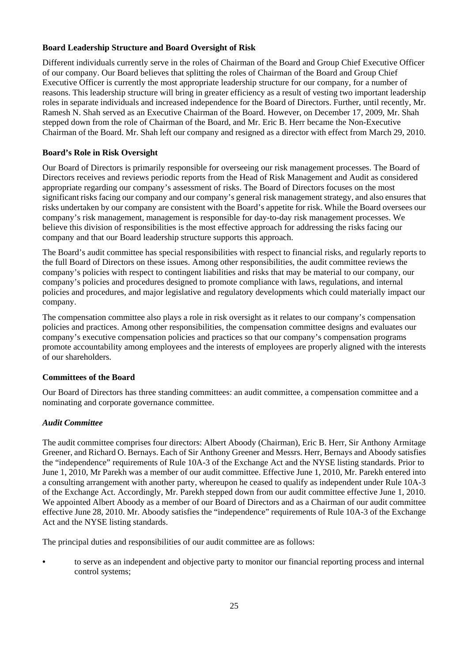# **Board Leadership Structure and Board Oversight of Risk**

Different individuals currently serve in the roles of Chairman of the Board and Group Chief Executive Officer of our company. Our Board believes that splitting the roles of Chairman of the Board and Group Chief Executive Officer is currently the most appropriate leadership structure for our company, for a number of reasons. This leadership structure will bring in greater efficiency as a result of vesting two important leadership roles in separate individuals and increased independence for the Board of Directors. Further, until recently, Mr. Ramesh N. Shah served as an Executive Chairman of the Board. However, on December 17, 2009, Mr. Shah stepped down from the role of Chairman of the Board, and Mr. Eric B. Herr became the Non-Executive Chairman of the Board. Mr. Shah left our company and resigned as a director with effect from March 29, 2010.

## **Board's Role in Risk Oversight**

Our Board of Directors is primarily responsible for overseeing our risk management processes. The Board of Directors receives and reviews periodic reports from the Head of Risk Management and Audit as considered appropriate regarding our company's assessment of risks. The Board of Directors focuses on the most significant risks facing our company and our company's general risk management strategy, and also ensures that risks undertaken by our company are consistent with the Board's appetite for risk. While the Board oversees our company's risk management, management is responsible for day-to-day risk management processes. We believe this division of responsibilities is the most effective approach for addressing the risks facing our company and that our Board leadership structure supports this approach.

The Board's audit committee has special responsibilities with respect to financial risks, and regularly reports to the full Board of Directors on these issues. Among other responsibilities, the audit committee reviews the company's policies with respect to contingent liabilities and risks that may be material to our company, our company's policies and procedures designed to promote compliance with laws, regulations, and internal policies and procedures, and major legislative and regulatory developments which could materially impact our company.

The compensation committee also plays a role in risk oversight as it relates to our company's compensation policies and practices. Among other responsibilities, the compensation committee designs and evaluates our company's executive compensation policies and practices so that our company's compensation programs promote accountability among employees and the interests of employees are properly aligned with the interests of our shareholders.

## **Committees of the Board**

Our Board of Directors has three standing committees: an audit committee, a compensation committee and a nominating and corporate governance committee.

## *Audit Committee*

The audit committee comprises four directors: Albert Aboody (Chairman), Eric B. Herr, Sir Anthony Armitage Greener, and Richard O. Bernays. Each of Sir Anthony Greener and Messrs. Herr, Bernays and Aboody satisfies the "independence" requirements of Rule 10A-3 of the Exchange Act and the NYSE listing standards. Prior to June 1, 2010, Mr Parekh was a member of our audit committee. Effective June 1, 2010, Mr. Parekh entered into a consulting arrangement with another party, whereupon he ceased to qualify as independent under Rule 10A-3 of the Exchange Act. Accordingly, Mr. Parekh stepped down from our audit committee effective June 1, 2010. We appointed Albert Aboody as a member of our Board of Directors and as a Chairman of our audit committee effective June 28, 2010. Mr. Aboody satisfies the "independence" requirements of Rule 10A-3 of the Exchange Act and the NYSE listing standards.

The principal duties and responsibilities of our audit committee are as follows:

**•** to serve as an independent and objective party to monitor our financial reporting process and internal control systems;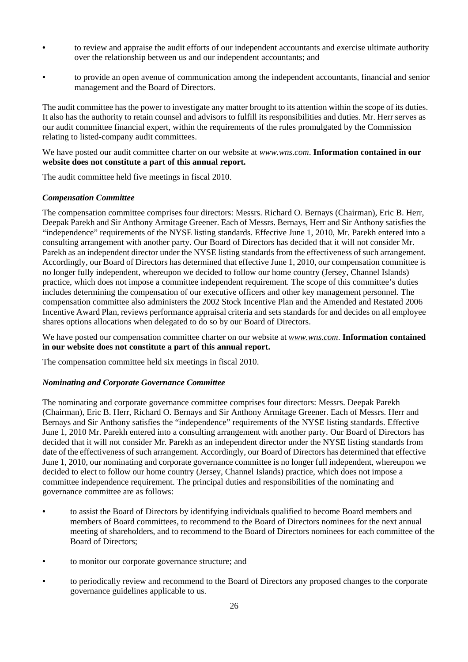- to review and appraise the audit efforts of our independent accountants and exercise ultimate authority over the relationship between us and our independent accountants; and
- to provide an open avenue of communication among the independent accountants, financial and senior management and the Board of Directors.

The audit committee has the power to investigate any matter brought to its attention within the scope of its duties. It also has the authority to retain counsel and advisors to fulfill its responsibilities and duties. Mr. Herr serves as our audit committee financial expert, within the requirements of the rules promulgated by the Commission relating to listed-company audit committees.

We have posted our audit committee charter on our website at *www.wns.com*. **Information contained in our website does not constitute a part of this annual report.** 

The audit committee held five meetings in fiscal 2010.

### *Compensation Committee*

The compensation committee comprises four directors: Messrs. Richard O. Bernays (Chairman), Eric B. Herr, Deepak Parekh and Sir Anthony Armitage Greener. Each of Messrs. Bernays, Herr and Sir Anthony satisfies the "independence" requirements of the NYSE listing standards. Effective June 1, 2010, Mr. Parekh entered into a consulting arrangement with another party. Our Board of Directors has decided that it will not consider Mr. Parekh as an independent director under the NYSE listing standards from the effectiveness of such arrangement. Accordingly, our Board of Directors has determined that effective June 1, 2010, our compensation committee is no longer fully independent, whereupon we decided to follow our home country (Jersey, Channel Islands) practice, which does not impose a committee independent requirement. The scope of this committee's duties includes determining the compensation of our executive officers and other key management personnel. The compensation committee also administers the 2002 Stock Incentive Plan and the Amended and Restated 2006 Incentive Award Plan, reviews performance appraisal criteria and sets standards for and decides on all employee shares options allocations when delegated to do so by our Board of Directors.

We have posted our compensation committee charter on our website at *www.wns.com*. **Information contained in our website does not constitute a part of this annual report.** 

The compensation committee held six meetings in fiscal 2010.

## *Nominating and Corporate Governance Committee*

The nominating and corporate governance committee comprises four directors: Messrs. Deepak Parekh (Chairman), Eric B. Herr, Richard O. Bernays and Sir Anthony Armitage Greener. Each of Messrs. Herr and Bernays and Sir Anthony satisfies the "independence" requirements of the NYSE listing standards. Effective June 1, 2010 Mr. Parekh entered into a consulting arrangement with another party. Our Board of Directors has decided that it will not consider Mr. Parekh as an independent director under the NYSE listing standards from date of the effectiveness of such arrangement. Accordingly, our Board of Directors has determined that effective June 1, 2010, our nominating and corporate governance committee is no longer full independent, whereupon we decided to elect to follow our home country (Jersey, Channel Islands) practice, which does not impose a committee independence requirement. The principal duties and responsibilities of the nominating and governance committee are as follows:

- to assist the Board of Directors by identifying individuals qualified to become Board members and members of Board committees, to recommend to the Board of Directors nominees for the next annual meeting of shareholders, and to recommend to the Board of Directors nominees for each committee of the Board of Directors;
- to monitor our corporate governance structure; and
- to periodically review and recommend to the Board of Directors any proposed changes to the corporate governance guidelines applicable to us.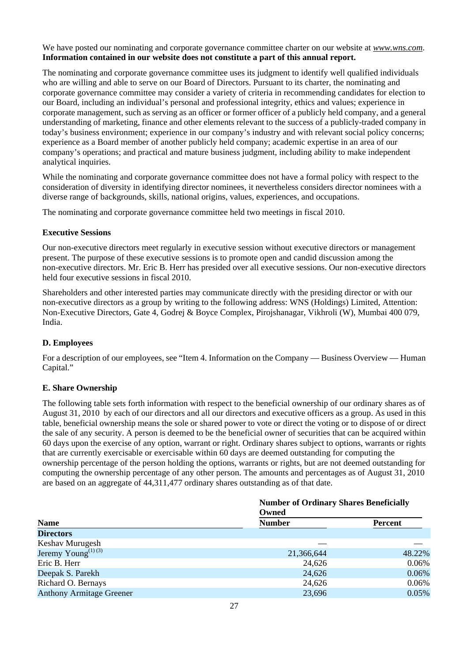We have posted our nominating and corporate governance committee charter on our website at *www.wns.com*. **Information contained in our website does not constitute a part of this annual report.** 

The nominating and corporate governance committee uses its judgment to identify well qualified individuals who are willing and able to serve on our Board of Directors. Pursuant to its charter, the nominating and corporate governance committee may consider a variety of criteria in recommending candidates for election to our Board, including an individual's personal and professional integrity, ethics and values; experience in corporate management, such as serving as an officer or former officer of a publicly held company, and a general understanding of marketing, finance and other elements relevant to the success of a publicly-traded company in today's business environment; experience in our company's industry and with relevant social policy concerns; experience as a Board member of another publicly held company; academic expertise in an area of our company's operations; and practical and mature business judgment, including ability to make independent analytical inquiries.

While the nominating and corporate governance committee does not have a formal policy with respect to the consideration of diversity in identifying director nominees, it nevertheless considers director nominees with a diverse range of backgrounds, skills, national origins, values, experiences, and occupations.

The nominating and corporate governance committee held two meetings in fiscal 2010.

### **Executive Sessions**

Our non-executive directors meet regularly in executive session without executive directors or management present. The purpose of these executive sessions is to promote open and candid discussion among the non-executive directors. Mr. Eric B. Herr has presided over all executive sessions. Our non-executive directors held four executive sessions in fiscal 2010.

Shareholders and other interested parties may communicate directly with the presiding director or with our non-executive directors as a group by writing to the following address: WNS (Holdings) Limited, Attention: Non-Executive Directors, Gate 4, Godrej & Boyce Complex, Pirojshanagar, Vikhroli (W), Mumbai 400 079, India.

## **D. Employees**

For a description of our employees, see "Item 4. Information on the Company — Business Overview — Human Capital."

## **E. Share Ownership**

The following table sets forth information with respect to the beneficial ownership of our ordinary shares as of August 31, 2010 by each of our directors and all our directors and executive officers as a group. As used in this table, beneficial ownership means the sole or shared power to vote or direct the voting or to dispose of or direct the sale of any security. A person is deemed to be the beneficial owner of securities that can be acquired within 60 days upon the exercise of any option, warrant or right. Ordinary shares subject to options, warrants or rights that are currently exercisable or exercisable within 60 days are deemed outstanding for computing the ownership percentage of the person holding the options, warrants or rights, but are not deemed outstanding for computing the ownership percentage of any other person. The amounts and percentages as of August 31, 2010 are based on an aggregate of 44,311,477 ordinary shares outstanding as of that date.

|                                 | <b>Number of Ordinary Shares Beneficially</b><br>Owned |                |  |  |
|---------------------------------|--------------------------------------------------------|----------------|--|--|
|                                 |                                                        |                |  |  |
| <b>Name</b>                     | <b>Number</b>                                          | <b>Percent</b> |  |  |
| <b>Directors</b>                |                                                        |                |  |  |
| Keshav Murugesh                 |                                                        |                |  |  |
| Jeremy Young <sup>(1)(3)</sup>  | 21,366,644                                             | 48.22%         |  |  |
| Eric B. Herr                    | 24,626                                                 | 0.06%          |  |  |
| Deepak S. Parekh                | 24,626                                                 | 0.06%          |  |  |
| Richard O. Bernays              | 24,626                                                 | 0.06%          |  |  |
| <b>Anthony Armitage Greener</b> | 23,696                                                 | 0.05%          |  |  |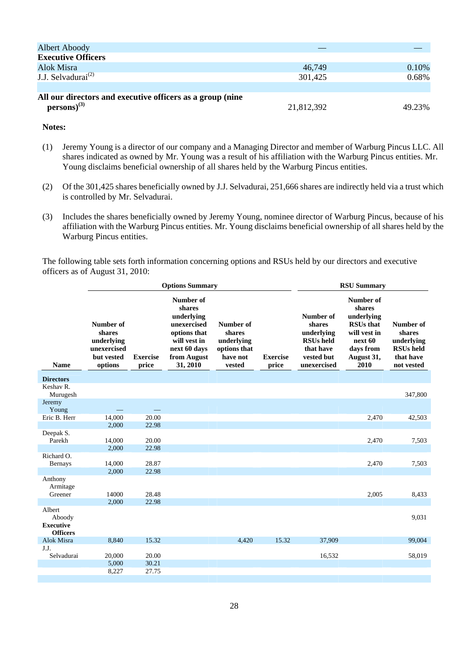| <b>Albert Aboody</b>                                      |            |        |
|-----------------------------------------------------------|------------|--------|
| <b>Executive Officers</b>                                 |            |        |
| Alok Misra                                                | 46.749     | 0.10%  |
| J.J. Selvadurai <sup>(2)</sup>                            | 301,425    | 0.68%  |
|                                                           |            |        |
| All our directors and executive officers as a group (nine |            |        |
| $persons)^{(3)}$                                          | 21,812,392 | 49.23% |

## **Notes:**

- (1) Jeremy Young is a director of our company and a Managing Director and member of Warburg Pincus LLC. All shares indicated as owned by Mr. Young was a result of his affiliation with the Warburg Pincus entities. Mr. Young disclaims beneficial ownership of all shares held by the Warburg Pincus entities.
- (2) Of the 301,425 shares beneficially owned by J.J. Selvadurai, 251,666 shares are indirectly held via a trust which is controlled by Mr. Selvadurai.
- (3) Includes the shares beneficially owned by Jeremy Young, nominee director of Warburg Pincus, because of his affiliation with the Warburg Pincus entities. Mr. Young disclaims beneficial ownership of all shares held by the Warburg Pincus entities.

The following table sets forth information concerning options and RSUs held by our directors and executive officers as of August 31, 2010:

|                                                         | <b>Options Summary</b>                                                    |                          |                                                                                                                             | <b>RSU Summary</b>                                                      |                          |                                                                                                 |                                                                                                                     |                                                                                  |
|---------------------------------------------------------|---------------------------------------------------------------------------|--------------------------|-----------------------------------------------------------------------------------------------------------------------------|-------------------------------------------------------------------------|--------------------------|-------------------------------------------------------------------------------------------------|---------------------------------------------------------------------------------------------------------------------|----------------------------------------------------------------------------------|
| <b>Name</b>                                             | Number of<br>shares<br>underlying<br>unexercised<br>but vested<br>options | <b>Exercise</b><br>price | Number of<br>shares<br>underlying<br>unexercised<br>options that<br>will vest in<br>next 60 days<br>from August<br>31, 2010 | Number of<br>shares<br>underlying<br>options that<br>have not<br>vested | <b>Exercise</b><br>price | Number of<br>shares<br>underlying<br><b>RSUs</b> held<br>that have<br>vested but<br>unexercised | Number of<br>shares<br>underlying<br><b>RSUs that</b><br>will vest in<br>next 60<br>days from<br>August 31,<br>2010 | Number of<br>shares<br>underlying<br><b>RSUs</b> held<br>that have<br>not vested |
| <b>Directors</b>                                        |                                                                           |                          |                                                                                                                             |                                                                         |                          |                                                                                                 |                                                                                                                     |                                                                                  |
| Keshav R.<br>Murugesh                                   |                                                                           |                          |                                                                                                                             |                                                                         |                          |                                                                                                 |                                                                                                                     | 347,800                                                                          |
| Jeremy<br>Young                                         |                                                                           |                          |                                                                                                                             |                                                                         |                          |                                                                                                 |                                                                                                                     |                                                                                  |
| Eric B. Herr                                            | 14,000                                                                    | 20.00                    |                                                                                                                             |                                                                         |                          |                                                                                                 | 2,470                                                                                                               | 42,503                                                                           |
|                                                         | 2,000                                                                     | 22.98                    |                                                                                                                             |                                                                         |                          |                                                                                                 |                                                                                                                     |                                                                                  |
| Deepak S.<br>Parekh                                     | 14,000                                                                    | 20.00                    |                                                                                                                             |                                                                         |                          |                                                                                                 | 2,470                                                                                                               | 7,503                                                                            |
|                                                         | 2,000                                                                     | 22.98                    |                                                                                                                             |                                                                         |                          |                                                                                                 |                                                                                                                     |                                                                                  |
| Richard O.<br><b>Bernays</b>                            | 14,000                                                                    | 28.87                    |                                                                                                                             |                                                                         |                          |                                                                                                 | 2,470                                                                                                               | 7,503                                                                            |
| Anthony                                                 | 2,000                                                                     | 22.98                    |                                                                                                                             |                                                                         |                          |                                                                                                 |                                                                                                                     |                                                                                  |
| Armitage<br>Greener                                     | 14000                                                                     | 28.48                    |                                                                                                                             |                                                                         |                          |                                                                                                 | 2,005                                                                                                               | 8,433                                                                            |
|                                                         | 2,000                                                                     | 22.98                    |                                                                                                                             |                                                                         |                          |                                                                                                 |                                                                                                                     |                                                                                  |
| Albert<br>Aboody<br><b>Executive</b><br><b>Officers</b> |                                                                           |                          |                                                                                                                             |                                                                         |                          |                                                                                                 |                                                                                                                     | 9,031                                                                            |
| Alok Misra                                              | 8,840                                                                     | 15.32                    |                                                                                                                             | 4,420                                                                   | 15.32                    | 37,909                                                                                          |                                                                                                                     | 99,004                                                                           |
| J.J.<br>Selvadurai                                      | 20,000<br>5,000                                                           | 20.00<br>30.21           |                                                                                                                             |                                                                         |                          | 16,532                                                                                          |                                                                                                                     | 58,019                                                                           |
|                                                         | 8,227                                                                     | 27.75                    |                                                                                                                             |                                                                         |                          |                                                                                                 |                                                                                                                     |                                                                                  |
|                                                         |                                                                           |                          |                                                                                                                             |                                                                         |                          |                                                                                                 |                                                                                                                     |                                                                                  |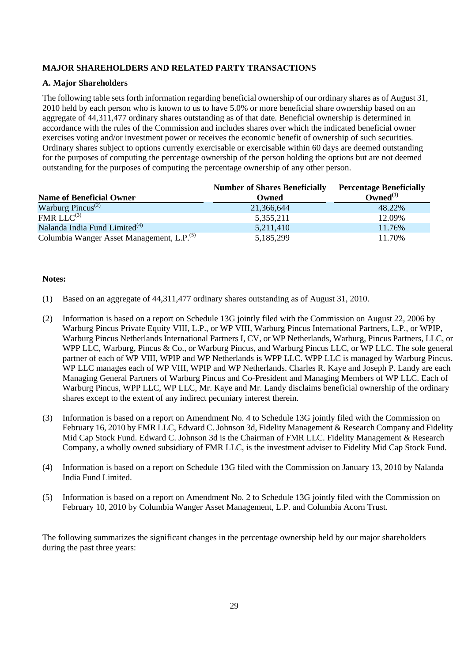# **MAJOR SHAREHOLDERS AND RELATED PARTY TRANSACTIONS**

## **A. Major Shareholders**

The following table sets forth information regarding beneficial ownership of our ordinary shares as of August 31, 2010 held by each person who is known to us to have 5.0% or more beneficial share ownership based on an aggregate of 44,311,477 ordinary shares outstanding as of that date. Beneficial ownership is determined in accordance with the rules of the Commission and includes shares over which the indicated beneficial owner exercises voting and/or investment power or receives the economic benefit of ownership of such securities. Ordinary shares subject to options currently exercisable or exercisable within 60 days are deemed outstanding for the purposes of computing the percentage ownership of the person holding the options but are not deemed outstanding for the purposes of computing the percentage ownership of any other person.

| <b>Name of Beneficial Owner</b>                       | <b>Number of Shares Beneficially</b><br>Owned | <b>Percentage Beneficially</b><br>$Owned^{(1)}$ |
|-------------------------------------------------------|-----------------------------------------------|-------------------------------------------------|
| Warburg Pincus <sup><math>(2)</math></sup>            | 21,366,644                                    | 48.22%                                          |
| $FMRLLC^{(3)}$                                        | 5,355,211                                     | 12.09%                                          |
| Nalanda India Fund Limited <sup>(4)</sup>             | 5,211,410                                     | 11.76%                                          |
| Columbia Wanger Asset Management, L.P. <sup>(5)</sup> | 5,185,299                                     | 11.70%                                          |

### **Notes:**

- (1) Based on an aggregate of 44,311,477 ordinary shares outstanding as of August 31, 2010.
- (2) Information is based on a report on Schedule 13G jointly filed with the Commission on August 22, 2006 by Warburg Pincus Private Equity VIII, L.P., or WP VIII, Warburg Pincus International Partners, L.P., or WPIP, Warburg Pincus Netherlands International Partners I, CV, or WP Netherlands, Warburg, Pincus Partners, LLC, or WPP LLC, Warburg, Pincus & Co., or Warburg Pincus, and Warburg Pincus LLC, or WP LLC. The sole general partner of each of WP VIII, WPIP and WP Netherlands is WPP LLC. WPP LLC is managed by Warburg Pincus. WP LLC manages each of WP VIII, WPIP and WP Netherlands. Charles R. Kaye and Joseph P. Landy are each Managing General Partners of Warburg Pincus and Co-President and Managing Members of WP LLC. Each of Warburg Pincus, WPP LLC, WP LLC, Mr. Kaye and Mr. Landy disclaims beneficial ownership of the ordinary shares except to the extent of any indirect pecuniary interest therein.
- (3) Information is based on a report on Amendment No. 4 to Schedule 13G jointly filed with the Commission on February 16, 2010 by FMR LLC, Edward C. Johnson 3d, Fidelity Management & Research Company and Fidelity Mid Cap Stock Fund. Edward C. Johnson 3d is the Chairman of FMR LLC. Fidelity Management & Research Company, a wholly owned subsidiary of FMR LLC, is the investment adviser to Fidelity Mid Cap Stock Fund.
- (4) Information is based on a report on Schedule 13G filed with the Commission on January 13, 2010 by Nalanda India Fund Limited.
- (5) Information is based on a report on Amendment No. 2 to Schedule 13G jointly filed with the Commission on February 10, 2010 by Columbia Wanger Asset Management, L.P. and Columbia Acorn Trust.

The following summarizes the significant changes in the percentage ownership held by our major shareholders during the past three years: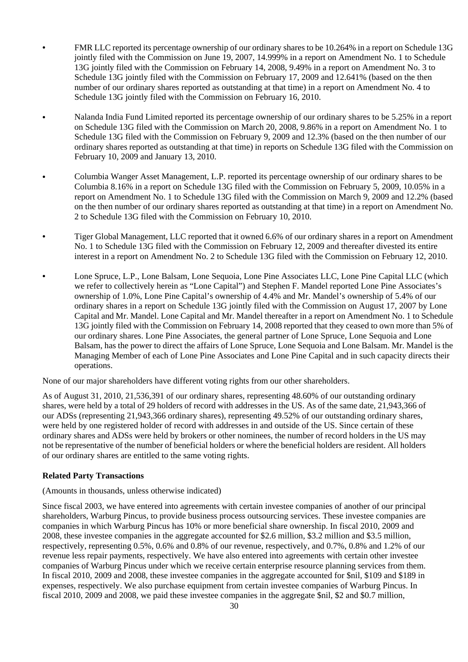- FMR LLC reported its percentage ownership of our ordinary shares to be 10.264% in a report on Schedule 13G jointly filed with the Commission on June 19, 2007, 14.999% in a report on Amendment No. 1 to Schedule 13G jointly filed with the Commission on February 14, 2008, 9.49% in a report on Amendment No. 3 to Schedule 13G jointly filed with the Commission on February 17, 2009 and 12.641% (based on the then number of our ordinary shares reported as outstanding at that time) in a report on Amendment No. 4 to Schedule 13G jointly filed with the Commission on February 16, 2010.
- Nalanda India Fund Limited reported its percentage ownership of our ordinary shares to be 5.25% in a report on Schedule 13G filed with the Commission on March 20, 2008, 9.86% in a report on Amendment No. 1 to Schedule 13G filed with the Commission on February 9, 2009 and 12.3% (based on the then number of our ordinary shares reported as outstanding at that time) in reports on Schedule 13G filed with the Commission on February 10, 2009 and January 13, 2010.
- Columbia Wanger Asset Management, L.P. reported its percentage ownership of our ordinary shares to be Columbia 8.16% in a report on Schedule 13G filed with the Commission on February 5, 2009, 10.05% in a report on Amendment No. 1 to Schedule 13G filed with the Commission on March 9, 2009 and 12.2% (based on the then number of our ordinary shares reported as outstanding at that time) in a report on Amendment No. 2 to Schedule 13G filed with the Commission on February 10, 2010.
- Tiger Global Management, LLC reported that it owned 6.6% of our ordinary shares in a report on Amendment No. 1 to Schedule 13G filed with the Commission on February 12, 2009 and thereafter divested its entire interest in a report on Amendment No. 2 to Schedule 13G filed with the Commission on February 12, 2010.
- Lone Spruce, L.P., Lone Balsam, Lone Sequoia, Lone Pine Associates LLC, Lone Pine Capital LLC (which we refer to collectively herein as "Lone Capital") and Stephen F. Mandel reported Lone Pine Associates's ownership of 1.0%, Lone Pine Capital's ownership of 4.4% and Mr. Mandel's ownership of 5.4% of our ordinary shares in a report on Schedule 13G jointly filed with the Commission on August 17, 2007 by Lone Capital and Mr. Mandel. Lone Capital and Mr. Mandel thereafter in a report on Amendment No. 1 to Schedule 13G jointly filed with the Commission on February 14, 2008 reported that they ceased to own more than 5% of our ordinary shares. Lone Pine Associates, the general partner of Lone Spruce, Lone Sequoia and Lone Balsam, has the power to direct the affairs of Lone Spruce, Lone Sequoia and Lone Balsam. Mr. Mandel is the Managing Member of each of Lone Pine Associates and Lone Pine Capital and in such capacity directs their operations.

None of our major shareholders have different voting rights from our other shareholders.

As of August 31, 2010, 21,536,391 of our ordinary shares, representing 48.60% of our outstanding ordinary shares, were held by a total of 29 holders of record with addresses in the US. As of the same date, 21,943,366 of our ADSs (representing 21,943,366 ordinary shares), representing 49.52% of our outstanding ordinary shares, were held by one registered holder of record with addresses in and outside of the US. Since certain of these ordinary shares and ADSs were held by brokers or other nominees, the number of record holders in the US may not be representative of the number of beneficial holders or where the beneficial holders are resident. All holders of our ordinary shares are entitled to the same voting rights.

## **Related Party Transactions**

(Amounts in thousands, unless otherwise indicated)

Since fiscal 2003, we have entered into agreements with certain investee companies of another of our principal shareholders, Warburg Pincus, to provide business process outsourcing services. These investee companies are companies in which Warburg Pincus has 10% or more beneficial share ownership. In fiscal 2010, 2009 and 2008, these investee companies in the aggregate accounted for \$2.6 million, \$3.2 million and \$3.5 million, respectively, representing 0.5%, 0.6% and 0.8% of our revenue, respectively, and 0.7%, 0.8% and 1.2% of our revenue less repair payments, respectively. We have also entered into agreements with certain other investee companies of Warburg Pincus under which we receive certain enterprise resource planning services from them. In fiscal 2010, 2009 and 2008, these investee companies in the aggregate accounted for \$nil, \$109 and \$189 in expenses, respectively. We also purchase equipment from certain investee companies of Warburg Pincus. In fiscal 2010, 2009 and 2008, we paid these investee companies in the aggregate \$nil, \$2 and \$0.7 million,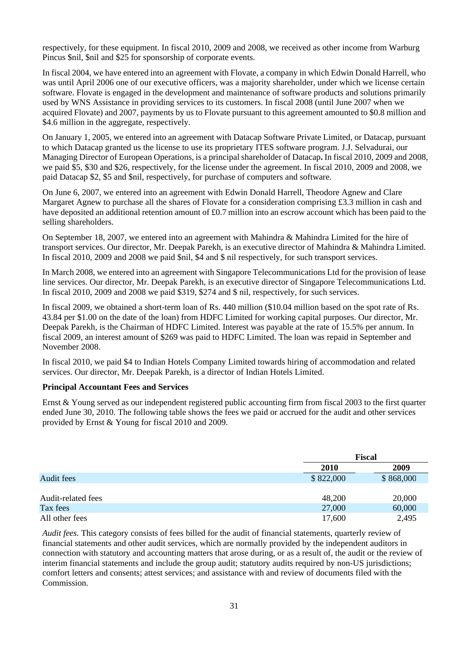respectively, for these equipment. In fiscal 2010, 2009 and 2008, we received as other income from Warburg Pincus \$nil, \$nil and \$25 for sponsorship of corporate events.

In fiscal 2004, we have entered into an agreement with Flovate, a company in which Edwin Donald Harrell, who was until April 2006 one of our executive officers, was a majority shareholder, under which we license certain software. Flovate is engaged in the development and maintenance of software products and solutions primarily used by WNS Assistance in providing services to its customers. In fiscal 2008 (until June 2007 when we acquired Flovate) and 2007, payments by us to Flovate pursuant to this agreement amounted to \$0.8 million and \$4.6 million in the aggregate, respectively.

On January 1, 2005, we entered into an agreement with Datacap Software Private Limited, or Datacap, pursuant to which Datacap granted us the license to use its proprietary ITES software program. J.J. Selvadurai, our Managing Director of European Operations, is a principal shareholder of Datacap**.** In fiscal 2010, 2009 and 2008, we paid \$5, \$30 and \$26, respectively, for the license under the agreement. In fiscal 2010, 2009 and 2008, we paid Datacap \$2, \$5 and \$nil, respectively, for purchase of computers and software.

On June 6, 2007, we entered into an agreement with Edwin Donald Harrell, Theodore Agnew and Clare Margaret Agnew to purchase all the shares of Flovate for a consideration comprising £3.3 million in cash and have deposited an additional retention amount of £0.7 million into an escrow account which has been paid to the selling shareholders.

On September 18, 2007, we entered into an agreement with Mahindra & Mahindra Limited for the hire of transport services. Our director, Mr. Deepak Parekh, is an executive director of Mahindra & Mahindra Limited. In fiscal 2010, 2009 and 2008 we paid \$nil, \$4 and \$ nil respectively, for such transport services.

In March 2008, we entered into an agreement with Singapore Telecommunications Ltd for the provision of lease line services. Our director, Mr. Deepak Parekh, is an executive director of Singapore Telecommunications Ltd. In fiscal 2010, 2009 and 2008 we paid \$319, \$274 and \$ nil, respectively, for such services.

In fiscal 2009, we obtained a short-term loan of Rs. 440 million (\$10.04 million based on the spot rate of Rs. 43.84 per \$1.00 on the date of the loan) from HDFC Limited for working capital purposes. Our director, Mr. Deepak Parekh, is the Chairman of HDFC Limited. Interest was payable at the rate of 15.5% per annum. In fiscal 2009, an interest amount of \$269 was paid to HDFC Limited. The loan was repaid in September and November 2008.

In fiscal 2010, we paid \$4 to Indian Hotels Company Limited towards hiring of accommodation and related services. Our director, Mr. Deepak Parekh, is a director of Indian Hotels Limited.

## **Principal Accountant Fees and Services**

Ernst & Young served as our independent registered public accounting firm from fiscal 2003 to the first quarter ended June 30, 2010. The following table shows the fees we paid or accrued for the audit and other services provided by Ernst & Young for fiscal 2010 and 2009.

|                    |             | Fiscal    |  |  |
|--------------------|-------------|-----------|--|--|
|                    | <b>2010</b> | 2009      |  |  |
| Audit fees         | \$822,000   | \$868,000 |  |  |
|                    |             |           |  |  |
| Audit-related fees | 48,200      | 20,000    |  |  |
| Tax fees           | 27,000      | 60,000    |  |  |
| All other fees     | 17,600      | 2,495     |  |  |

*Audit fees.* This category consists of fees billed for the audit of financial statements, quarterly review of financial statements and other audit services, which are normally provided by the independent auditors in connection with statutory and accounting matters that arose during, or as a result of, the audit or the review of interim financial statements and include the group audit; statutory audits required by non-US jurisdictions; comfort letters and consents; attest services; and assistance with and review of documents filed with the Commission.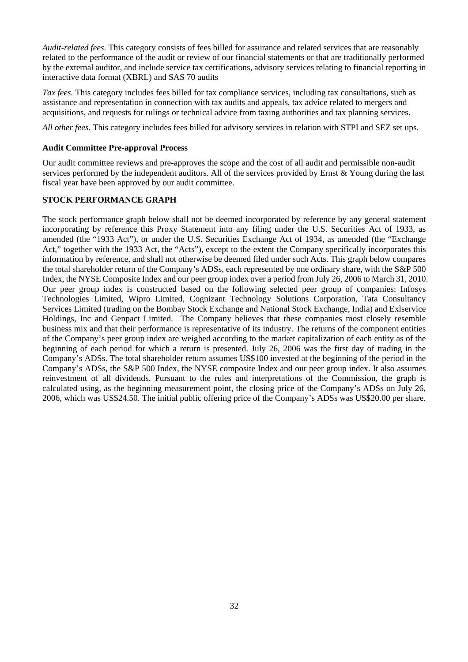*Audit-related fees.* This category consists of fees billed for assurance and related services that are reasonably related to the performance of the audit or review of our financial statements or that are traditionally performed by the external auditor, and include service tax certifications, advisory services relating to financial reporting in interactive data format (XBRL) and SAS 70 audits

*Tax fees.* This category includes fees billed for tax compliance services, including tax consultations, such as assistance and representation in connection with tax audits and appeals, tax advice related to mergers and acquisitions, and requests for rulings or technical advice from taxing authorities and tax planning services.

*All other fees.* This category includes fees billed for advisory services in relation with STPI and SEZ set ups.

## **Audit Committee Pre-approval Process**

Our audit committee reviews and pre-approves the scope and the cost of all audit and permissible non-audit services performed by the independent auditors. All of the services provided by Ernst & Young during the last fiscal year have been approved by our audit committee.

### **STOCK PERFORMANCE GRAPH**

The stock performance graph below shall not be deemed incorporated by reference by any general statement incorporating by reference this Proxy Statement into any filing under the U.S. Securities Act of 1933, as amended (the "1933 Act"), or under the U.S. Securities Exchange Act of 1934, as amended (the "Exchange Act," together with the 1933 Act, the "Acts"), except to the extent the Company specifically incorporates this information by reference, and shall not otherwise be deemed filed under such Acts. This graph below compares the total shareholder return of the Company's ADSs, each represented by one ordinary share, with the S&P 500 Index, the NYSE Composite Index and our peer group index over a period from July 26, 2006 to March 31, 2010. Our peer group index is constructed based on the following selected peer group of companies: Infosys Technologies Limited, Wipro Limited, Cognizant Technology Solutions Corporation, Tata Consultancy Services Limited (trading on the Bombay Stock Exchange and National Stock Exchange, India) and Exlservice Holdings, Inc and Genpact Limited. The Company believes that these companies most closely resemble business mix and that their performance is representative of its industry. The returns of the component entities of the Company's peer group index are weighed according to the market capitalization of each entity as of the beginning of each period for which a return is presented. July 26, 2006 was the first day of trading in the Company's ADSs. The total shareholder return assumes US\$100 invested at the beginning of the period in the Company's ADSs, the S&P 500 Index, the NYSE composite Index and our peer group index. It also assumes reinvestment of all dividends. Pursuant to the rules and interpretations of the Commission, the graph is calculated using, as the beginning measurement point, the closing price of the Company's ADSs on July 26, 2006, which was US\$24.50. The initial public offering price of the Company's ADSs was US\$20.00 per share.